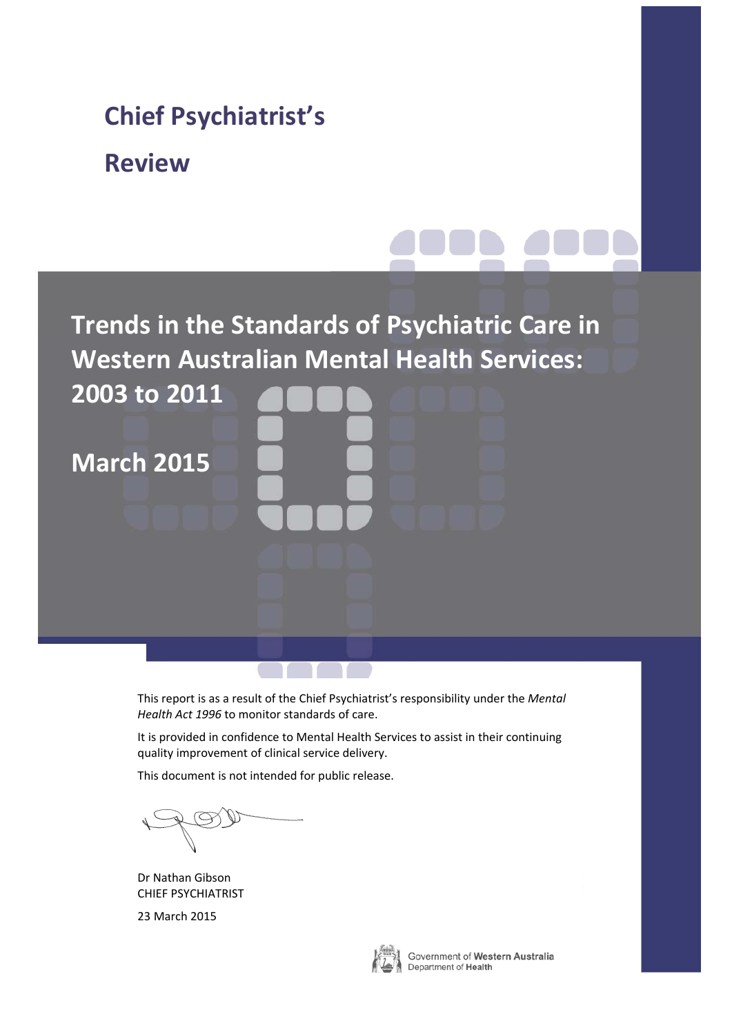# **Trends in the Standards of Psychiatric Care in Western Australian Mental Health Services: 2003 to 2011 March 2015 Chief Psychiatrist's Review**

This report is as a result of the Chief Psychiatrist's responsibility under the *Mental Health Act 1996* to monitor standards of care.

It is provided in confidence to Mental Health Services to assist in their continuing quality improvement of clinical service delivery.

This document is not intended for public release.

Dr Nathan Gibson CHIEF PSYCHIATRIST

23 March 2015



Government of Western Australia Department of Health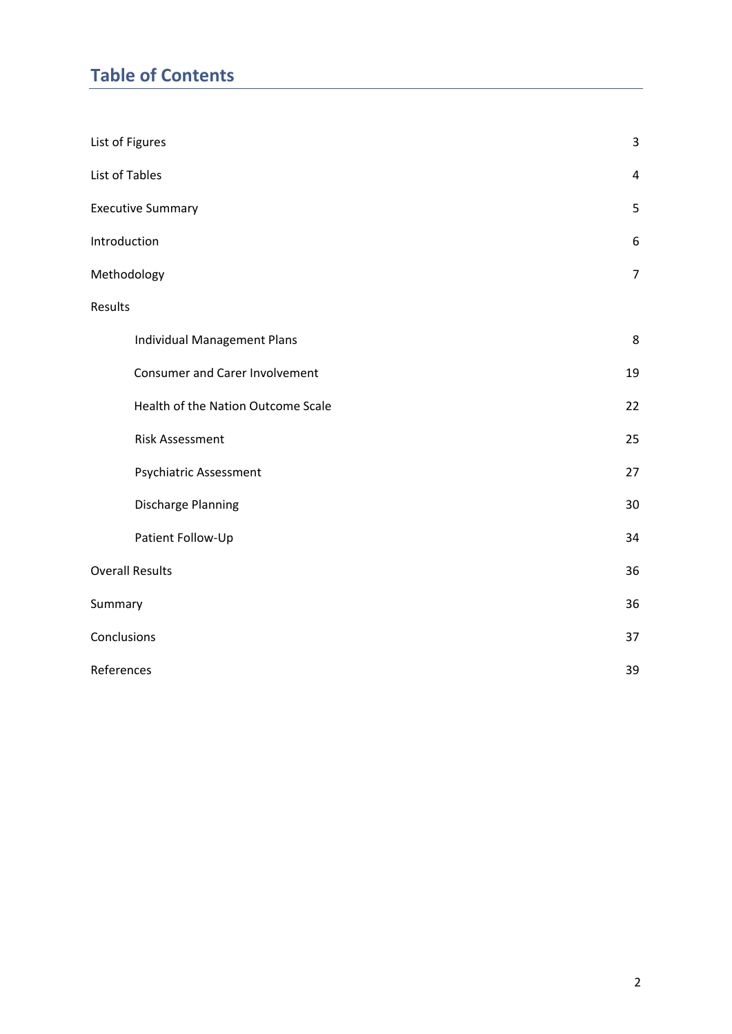# **Table of Contents**

| List of Figures                       | $\mathbf{3}$   |
|---------------------------------------|----------------|
| List of Tables                        | $\overline{4}$ |
| <b>Executive Summary</b>              | 5              |
| Introduction                          | $6\,$          |
| Methodology                           | $\overline{7}$ |
| Results                               |                |
| Individual Management Plans           | $\,8\,$        |
| <b>Consumer and Carer Involvement</b> | 19             |
| Health of the Nation Outcome Scale    | 22             |
| <b>Risk Assessment</b>                | 25             |
| Psychiatric Assessment                | 27             |
| Discharge Planning                    | 30             |
| Patient Follow-Up                     | 34             |
| <b>Overall Results</b>                | 36             |
| Summary                               | 36             |
| Conclusions                           | 37             |
| References                            | 39             |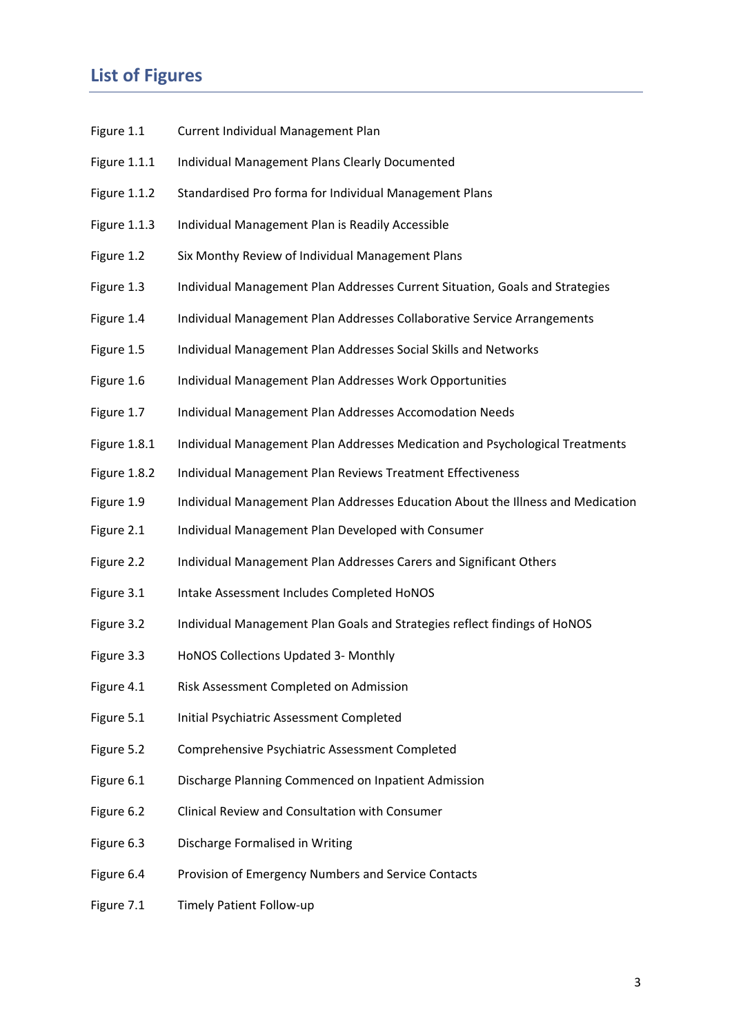# **List of Figures**

- Figure 1.1 Current Individual Management Plan
- Figure 1.1.1 Individual Management Plans Clearly Documented
- Figure 1.1.2 Standardised Pro forma for Individual Management Plans
- Figure 1.1.3 Individual Management Plan is Readily Accessible
- Figure 1.2 Six Monthy Review of Individual Management Plans
- Figure 1.3 Individual Management Plan Addresses Current Situation, Goals and Strategies
- Figure 1.4 Individual Management Plan Addresses Collaborative Service Arrangements
- Figure 1.5 Individual Management Plan Addresses Social Skills and Networks
- Figure 1.6 Individual Management Plan Addresses Work Opportunities
- Figure 1.7 Individual Management Plan Addresses Accomodation Needs
- Figure 1.8.1 Individual Management Plan Addresses Medication and Psychological Treatments
- Figure 1.8.2 Individual Management Plan Reviews Treatment Effectiveness
- Figure 1.9 Individual Management Plan Addresses Education About the Illness and Medication
- Figure 2.1 Individual Management Plan Developed with Consumer
- Figure 2.2 Individual Management Plan Addresses Carers and Significant Others
- Figure 3.1 Intake Assessment Includes Completed HoNOS
- Figure 3.2 Individual Management Plan Goals and Strategies reflect findings of HoNOS
- Figure 3.3 HoNOS Collections Updated 3- Monthly
- Figure 4.1 Risk Assessment Completed on Admission
- Figure 5.1 Initial Psychiatric Assessment Completed
- Figure 5.2 Comprehensive Psychiatric Assessment Completed
- Figure 6.1 Discharge Planning Commenced on Inpatient Admission
- Figure 6.2 Clinical Review and Consultation with Consumer
- Figure 6.3 Discharge Formalised in Writing
- Figure 6.4 Provision of Emergency Numbers and Service Contacts
- Figure 7.1 Timely Patient Follow‐up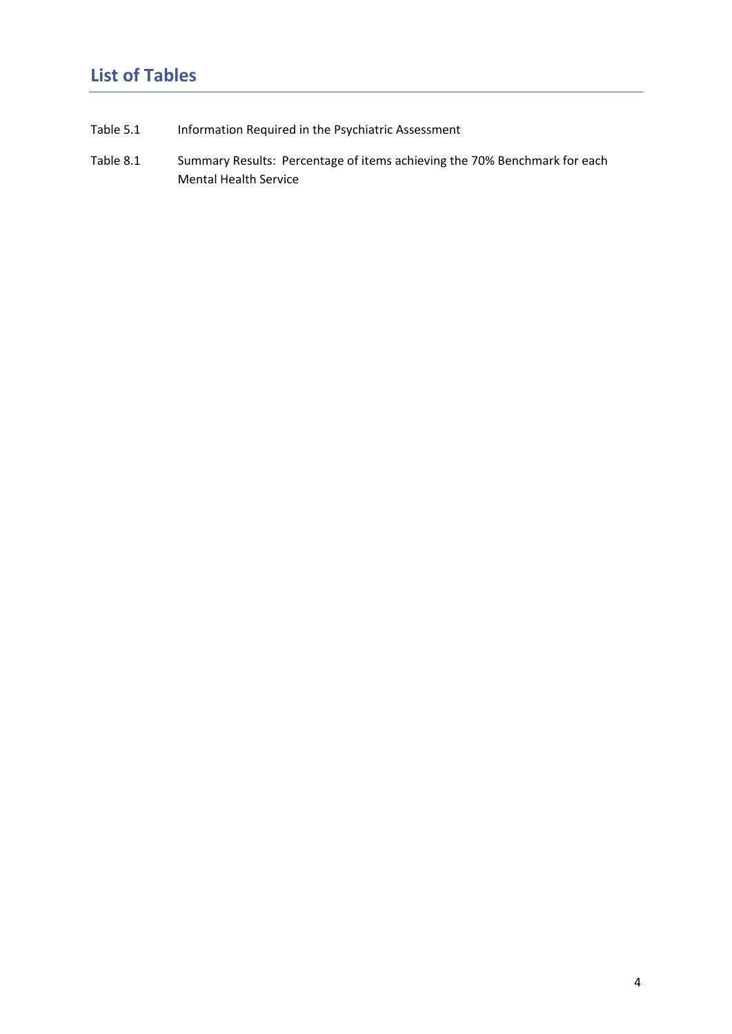# **List of Tables**

- Table 5.1 Information Required in the Psychiatric Assessment
- Table 8.1 Summary Results: Percentage of items achieving the 70% Benchmark for each Mental Health Service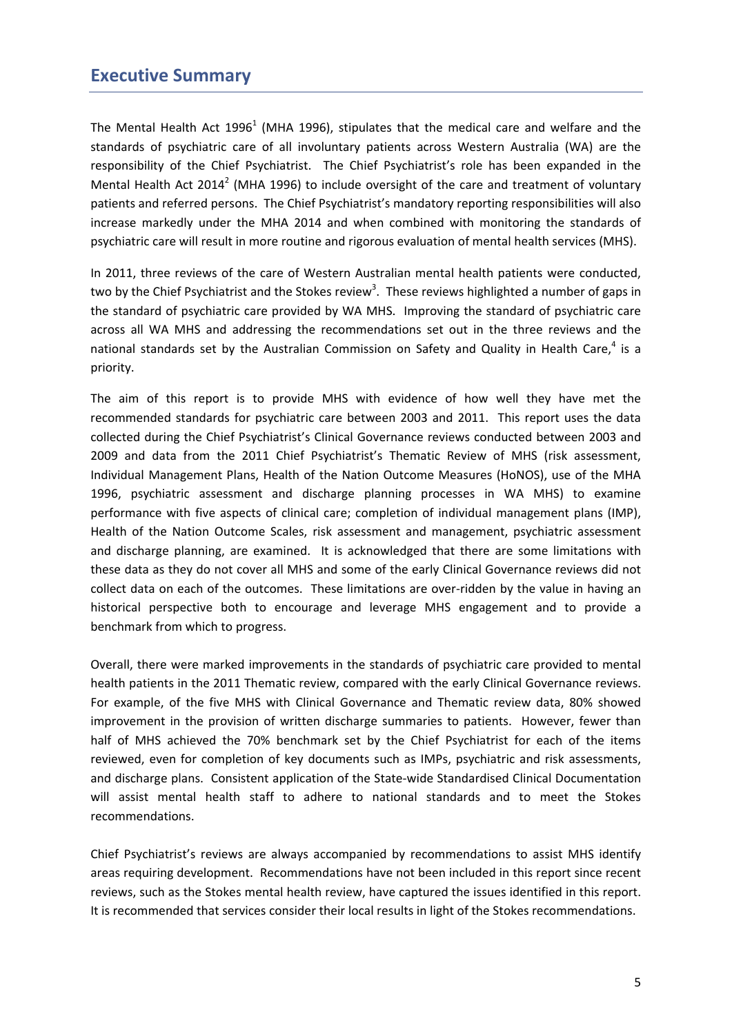## **Executive Summary**

The Mental Health Act 1996<sup>1</sup> (MHA 1996), stipulates that the medical care and welfare and the standards of psychiatric care of all involuntary patients across Western Australia (WA) are the responsibility of the Chief Psychiatrist. The Chief Psychiatrist's role has been expanded in the Mental Health Act 2014<sup>2</sup> (MHA 1996) to include oversight of the care and treatment of voluntary patients and referred persons. The Chief Psychiatrist's mandatory reporting responsibilities will also increase markedly under the MHA 2014 and when combined with monitoring the standards of psychiatric care will result in more routine and rigorous evaluation of mental health services (MHS).

In 2011, three reviews of the care of Western Australian mental health patients were conducted, two by the Chief Psychiatrist and the Stokes review<sup>3</sup>. These reviews highlighted a number of gaps in the standard of psychiatric care provided by WA MHS. Improving the standard of psychiatric care across all WA MHS and addressing the recommendations set out in the three reviews and the national standards set by the Australian Commission on Safety and Quality in Health Care,<sup>4</sup> is a priority.

The aim of this report is to provide MHS with evidence of how well they have met the recommended standards for psychiatric care between 2003 and 2011. This report uses the data collected during the Chief Psychiatrist's Clinical Governance reviews conducted between 2003 and 2009 and data from the 2011 Chief Psychiatrist's Thematic Review of MHS (risk assessment, Individual Management Plans, Health of the Nation Outcome Measures (HoNOS), use of the MHA 1996, psychiatric assessment and discharge planning processes in WA MHS) to examine performance with five aspects of clinical care; completion of individual management plans (IMP), Health of the Nation Outcome Scales, risk assessment and management, psychiatric assessment and discharge planning, are examined. It is acknowledged that there are some limitations with these data as they do not cover all MHS and some of the early Clinical Governance reviews did not collect data on each of the outcomes. These limitations are over-ridden by the value in having an historical perspective both to encourage and leverage MHS engagement and to provide a benchmark from which to progress.

Overall, there were marked improvements in the standards of psychiatric care provided to mental health patients in the 2011 Thematic review, compared with the early Clinical Governance reviews. For example, of the five MHS with Clinical Governance and Thematic review data, 80% showed improvement in the provision of written discharge summaries to patients. However, fewer than half of MHS achieved the 70% benchmark set by the Chief Psychiatrist for each of the items reviewed, even for completion of key documents such as IMPs, psychiatric and risk assessments, and discharge plans. Consistent application of the State‐wide Standardised Clinical Documentation will assist mental health staff to adhere to national standards and to meet the Stokes recommendations.

Chief Psychiatrist's reviews are always accompanied by recommendations to assist MHS identify areas requiring development. Recommendations have not been included in this report since recent reviews, such as the Stokes mental health review, have captured the issues identified in this report. It is recommended that services consider their local results in light of the Stokes recommendations.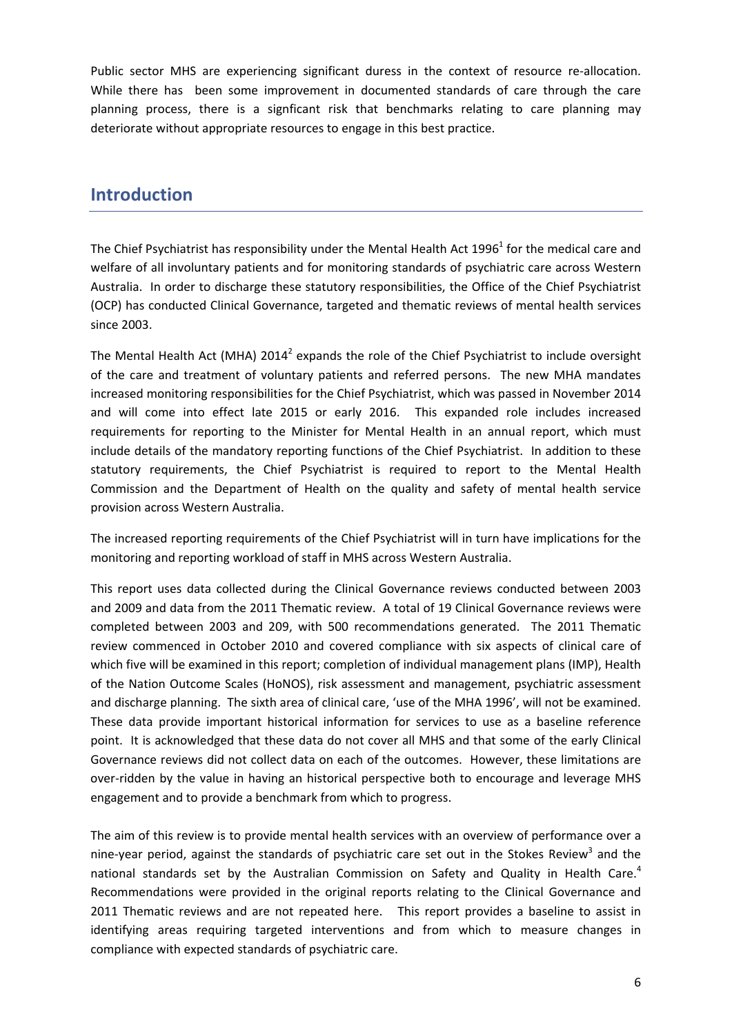Public sector MHS are experiencing significant duress in the context of resource re-allocation. While there has been some improvement in documented standards of care through the care planning process, there is a signficant risk that benchmarks relating to care planning may deteriorate without appropriate resources to engage in this best practice.

# **Introduction**

The Chief Psychiatrist has responsibility under the Mental Health Act 1996 $^1$  for the medical care and welfare of all involuntary patients and for monitoring standards of psychiatric care across Western Australia. In order to discharge these statutory responsibilities, the Office of the Chief Psychiatrist (OCP) has conducted Clinical Governance, targeted and thematic reviews of mental health services since 2003.

The Mental Health Act (MHA)  $2014^2$  expands the role of the Chief Psychiatrist to include oversight of the care and treatment of voluntary patients and referred persons. The new MHA mandates increased monitoring responsibilities for the Chief Psychiatrist, which was passed in November 2014 and will come into effect late 2015 or early 2016. This expanded role includes increased requirements for reporting to the Minister for Mental Health in an annual report, which must include details of the mandatory reporting functions of the Chief Psychiatrist. In addition to these statutory requirements, the Chief Psychiatrist is required to report to the Mental Health Commission and the Department of Health on the quality and safety of mental health service provision across Western Australia.

The increased reporting requirements of the Chief Psychiatrist will in turn have implications for the monitoring and reporting workload of staff in MHS across Western Australia.

This report uses data collected during the Clinical Governance reviews conducted between 2003 and 2009 and data from the 2011 Thematic review. A total of 19 Clinical Governance reviews were completed between 2003 and 209, with 500 recommendations generated. The 2011 Thematic review commenced in October 2010 and covered compliance with six aspects of clinical care of which five will be examined in this report; completion of individual management plans (IMP), Health of the Nation Outcome Scales (HoNOS), risk assessment and management, psychiatric assessment and discharge planning. The sixth area of clinical care, 'use of the MHA 1996', will not be examined. These data provide important historical information for services to use as a baseline reference point. It is acknowledged that these data do not cover all MHS and that some of the early Clinical Governance reviews did not collect data on each of the outcomes. However, these limitations are over-ridden by the value in having an historical perspective both to encourage and leverage MHS engagement and to provide a benchmark from which to progress.

The aim of this review is to provide mental health services with an overview of performance over a nine-year period, against the standards of psychiatric care set out in the Stokes Review<sup>3</sup> and the national standards set by the Australian Commission on Safety and Quality in Health Care.<sup>4</sup> Recommendations were provided in the original reports relating to the Clinical Governance and 2011 Thematic reviews and are not repeated here. This report provides a baseline to assist in identifying areas requiring targeted interventions and from which to measure changes in compliance with expected standards of psychiatric care.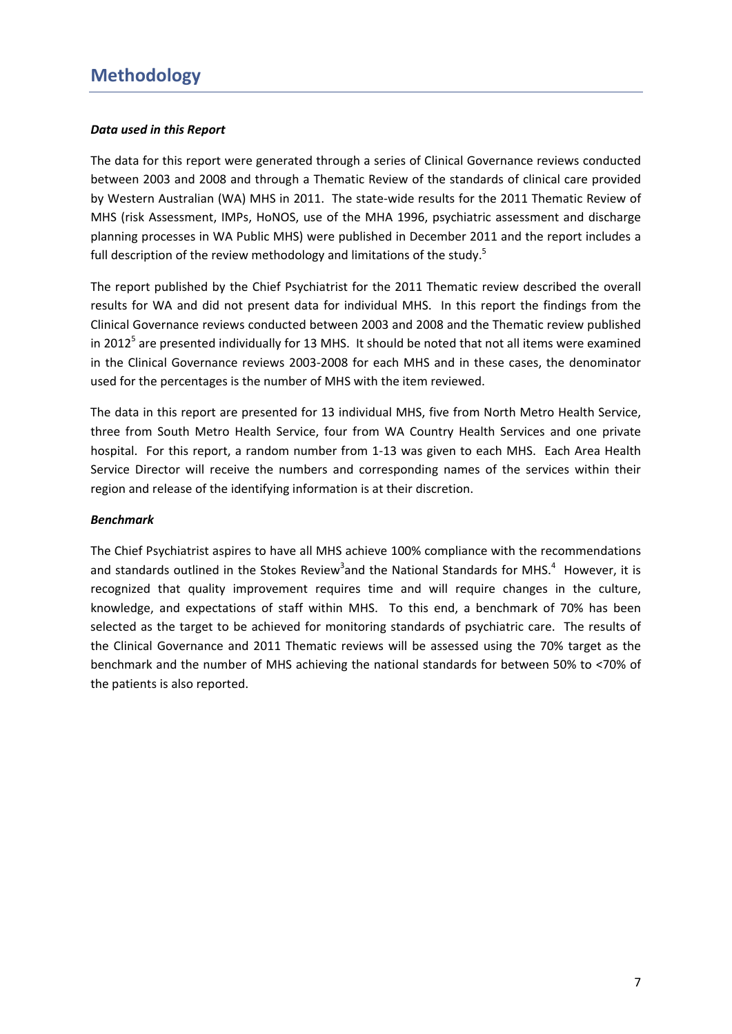#### *Data used in this Report*

The data for this report were generated through a series of Clinical Governance reviews conducted between 2003 and 2008 and through a Thematic Review of the standards of clinical care provided by Western Australian (WA) MHS in 2011. The state-wide results for the 2011 Thematic Review of MHS (risk Assessment, IMPs, HoNOS, use of the MHA 1996, psychiatric assessment and discharge planning processes in WA Public MHS) were published in December 2011 and the report includes a full description of the review methodology and limitations of the study.<sup>5</sup>

The report published by the Chief Psychiatrist for the 2011 Thematic review described the overall results for WA and did not present data for individual MHS. In this report the findings from the Clinical Governance reviews conducted between 2003 and 2008 and the Thematic review published in 2012<sup>5</sup> are presented individually for 13 MHS. It should be noted that not all items were examined in the Clinical Governance reviews 2003‐2008 for each MHS and in these cases, the denominator used for the percentages is the number of MHS with the item reviewed.

The data in this report are presented for 13 individual MHS, five from North Metro Health Service, three from South Metro Health Service, four from WA Country Health Services and one private hospital. For this report, a random number from 1‐13 was given to each MHS. Each Area Health Service Director will receive the numbers and corresponding names of the services within their region and release of the identifying information is at their discretion.

#### *Benchmark*

The Chief Psychiatrist aspires to have all MHS achieve 100% compliance with the recommendations and standards outlined in the Stokes Review<sup>3</sup>and the National Standards for MHS.<sup>4</sup> However, it is recognized that quality improvement requires time and will require changes in the culture, knowledge, and expectations of staff within MHS. To this end, a benchmark of 70% has been selected as the target to be achieved for monitoring standards of psychiatric care. The results of the Clinical Governance and 2011 Thematic reviews will be assessed using the 70% target as the benchmark and the number of MHS achieving the national standards for between 50% to <70% of the patients is also reported.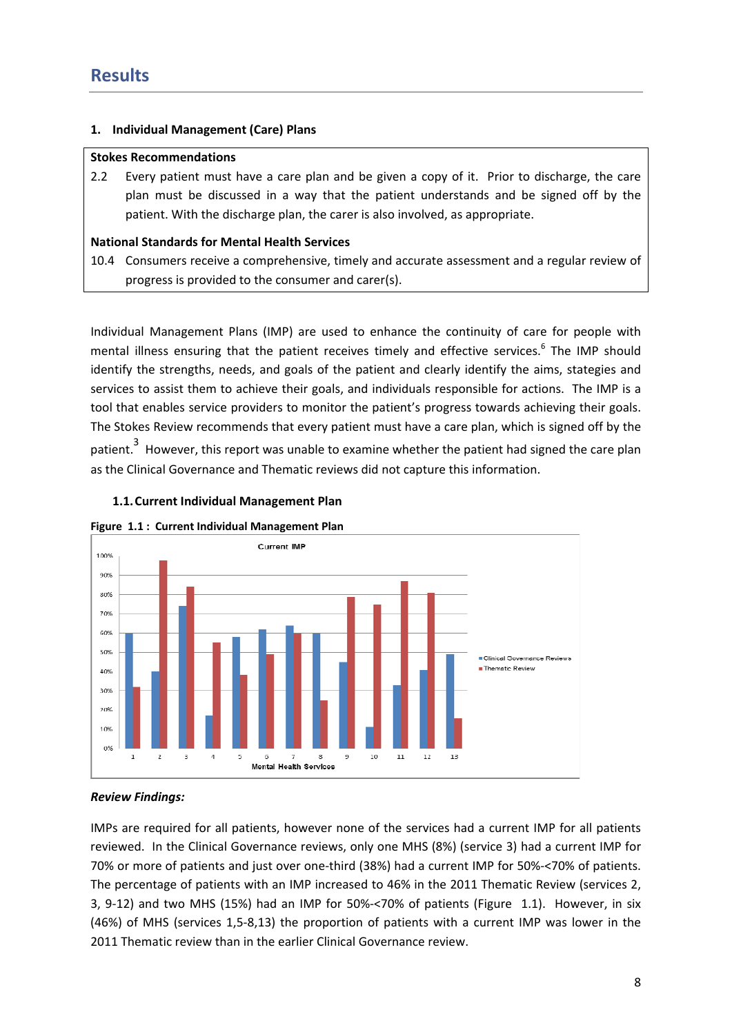#### **1. Individual Management (Care) Plans**

#### **Stokes Recommendations**

2.2 Every patient must have a care plan and be given a copy of it. Prior to discharge, the care plan must be discussed in a way that the patient understands and be signed off by the patient. With the discharge plan, the carer is also involved, as appropriate.

#### **National Standards for Mental Health Services**

10.4 Consumers receive a comprehensive, timely and accurate assessment and a regular review of progress is provided to the consumer and carer(s).

Individual Management Plans (IMP) are used to enhance the continuity of care for people with mental illness ensuring that the patient receives timely and effective services.<sup>6</sup> The IMP should identify the strengths, needs, and goals of the patient and clearly identify the aims, stategies and services to assist them to achieve their goals, and individuals responsible for actions. The IMP is a tool that enables service providers to monitor the patient's progress towards achieving their goals. The Stokes Review recommends that every patient must have a care plan, which is signed off by the patient.<sup>3</sup> However, this report was unable to examine whether the patient had signed the care plan as the Clinical Governance and Thematic reviews did not capture this information.

#### **1.1.Current Individual Management Plan**





### *Review Findings:*

IMPs are required for all patients, however none of the services had a current IMP for all patients reviewed. In the Clinical Governance reviews, only one MHS (8%) (service 3) had a current IMP for 70% or more of patients and just over one‐third (38%) had a current IMP for 50%‐<70% of patients. The percentage of patients with an IMP increased to 46% in the 2011 Thematic Review (services 2, 3, 9‐12) and two MHS (15%) had an IMP for 50%‐<70% of patients (Figure 1.1). However, in six (46%) of MHS (services 1,5‐8,13) the proportion of patients with a current IMP was lower in the 2011 Thematic review than in the earlier Clinical Governance review.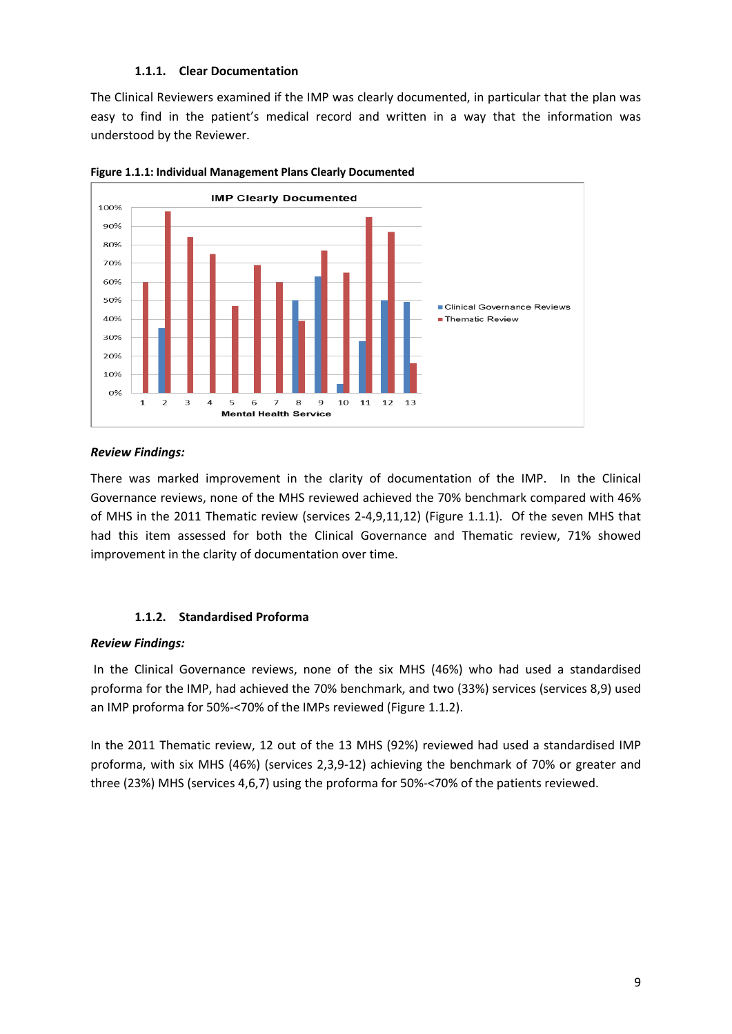#### **1.1.1. Clear Documentation**

The Clinical Reviewers examined if the IMP was clearly documented, in particular that the plan was easy to find in the patient's medical record and written in a way that the information was understood by the Reviewer.





#### *Review Findings:*

There was marked improvement in the clarity of documentation of the IMP. In the Clinical Governance reviews, none of the MHS reviewed achieved the 70% benchmark compared with 46% of MHS in the 2011 Thematic review (services 2‐4,9,11,12) (Figure 1.1.1). Of the seven MHS that had this item assessed for both the Clinical Governance and Thematic review, 71% showed improvement in the clarity of documentation over time.

#### **1.1.2. Standardised Proforma**

#### *Review Findings:*

In the Clinical Governance reviews, none of the six MHS (46%) who had used a standardised proforma for the IMP, had achieved the 70% benchmark, and two (33%) services (services 8,9) used an IMP proforma for 50%‐<70% of the IMPs reviewed (Figure 1.1.2).

In the 2011 Thematic review, 12 out of the 13 MHS (92%) reviewed had used a standardised IMP proforma, with six MHS (46%) (services 2,3,9‐12) achieving the benchmark of 70% or greater and three (23%) MHS (services 4,6,7) using the proforma for 50%‐<70% of the patients reviewed.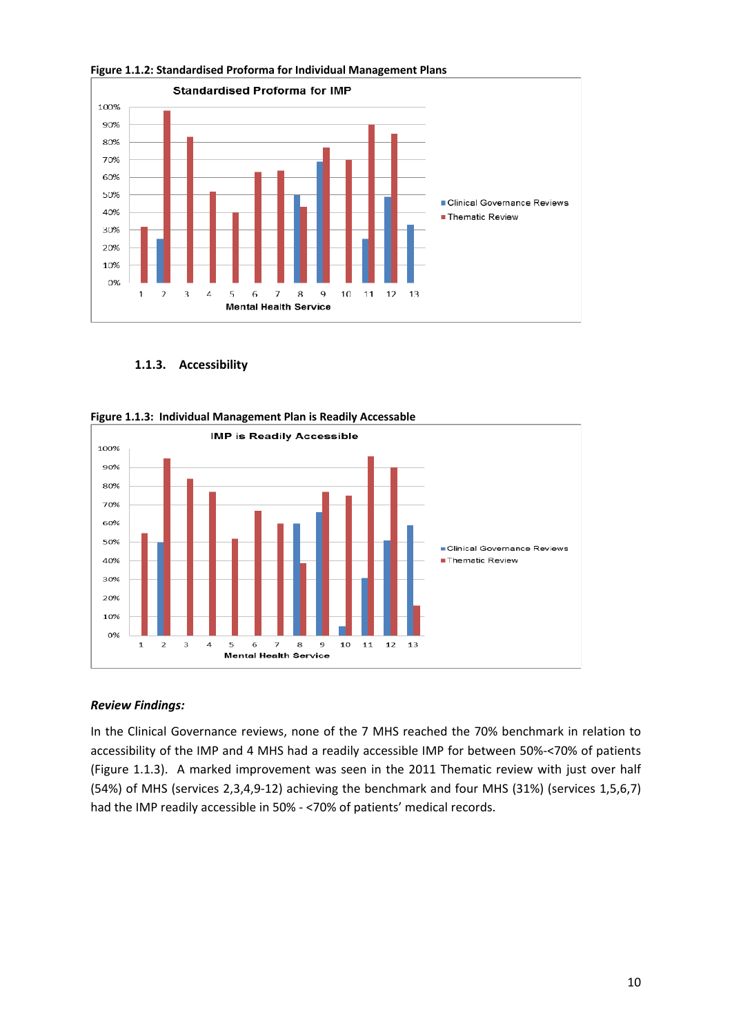

**Figure 1.1.2: Standardised Proforma for Individual Management Plans**

**1.1.3. Accessibility**





#### *Review Findings:*

In the Clinical Governance reviews, none of the 7 MHS reached the 70% benchmark in relation to accessibility of the IMP and 4 MHS had a readily accessible IMP for between 50%‐<70% of patients (Figure 1.1.3). A marked improvement was seen in the 2011 Thematic review with just over half (54%) of MHS (services 2,3,4,9‐12) achieving the benchmark and four MHS (31%) (services 1,5,6,7) had the IMP readily accessible in 50% ‐ <70% of patients' medical records.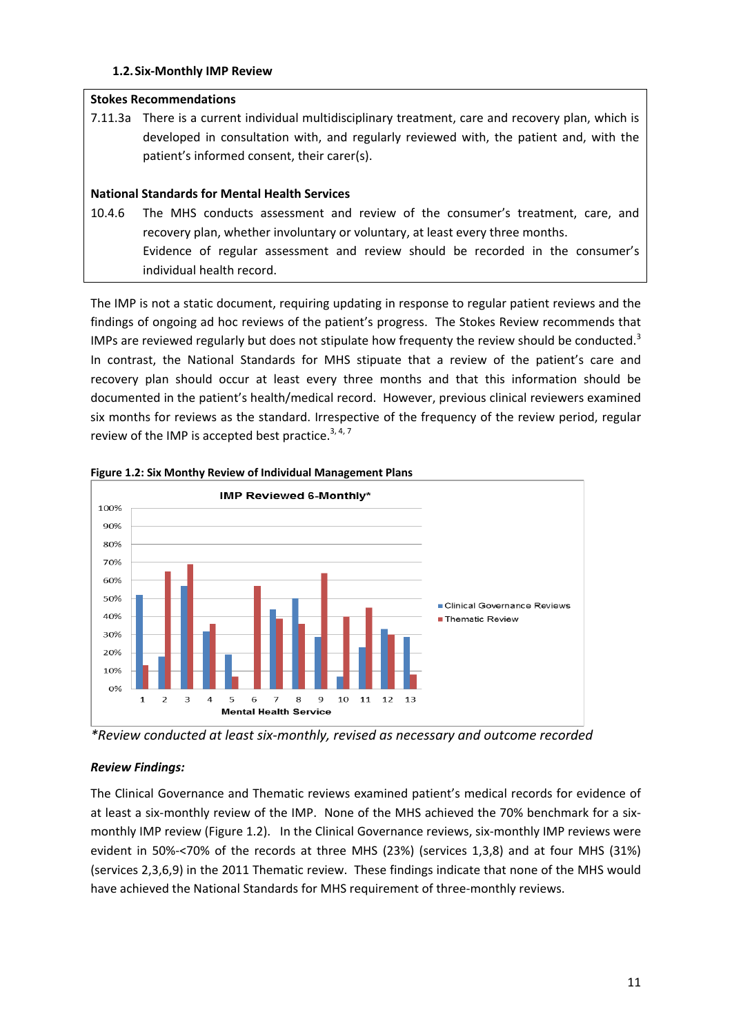#### **1.2.Six‐Monthly IMP Review**

#### **Stokes Recommendations**

7.11.3a There is a current individual multidisciplinary treatment, care and recovery plan, which is developed in consultation with, and regularly reviewed with, the patient and, with the patient's informed consent, their carer(s).

#### **National Standards for Mental Health Services**

10.4.6 The MHS conducts assessment and review of the consumer's treatment, care, and recovery plan, whether involuntary or voluntary, at least every three months. Evidence of regular assessment and review should be recorded in the consumer's individual health record.

The IMP is not a static document, requiring updating in response to regular patient reviews and the findings of ongoing ad hoc reviews of the patient's progress. The Stokes Review recommends that IMPs are reviewed regularly but does not stipulate how frequenty the review should be conducted.<sup>3</sup> In contrast, the National Standards for MHS stipuate that a review of the patient's care and recovery plan should occur at least every three months and that this information should be documented in the patient's health/medical record. However, previous clinical reviewers examined six months for reviews as the standard. Irrespective of the frequency of the review period, regular review of the IMP is accepted best practice.<sup>3, 4, 7</sup>



**Figure 1.2: Six Monthy Review of Individual Management Plans**

*\*Review conducted at least six‐monthly, revised as necessary and outcome recorded*

#### *Review Findings:*

The Clinical Governance and Thematic reviews examined patient's medical records for evidence of at least a six‐monthly review of the IMP. None of the MHS achieved the 70% benchmark for a six‐ monthly IMP review (Figure 1.2). In the Clinical Governance reviews, six-monthly IMP reviews were evident in 50%‐<70% of the records at three MHS (23%) (services 1,3,8) and at four MHS (31%) (services 2,3,6,9) in the 2011 Thematic review. These findings indicate that none of the MHS would have achieved the National Standards for MHS requirement of three‐monthly reviews.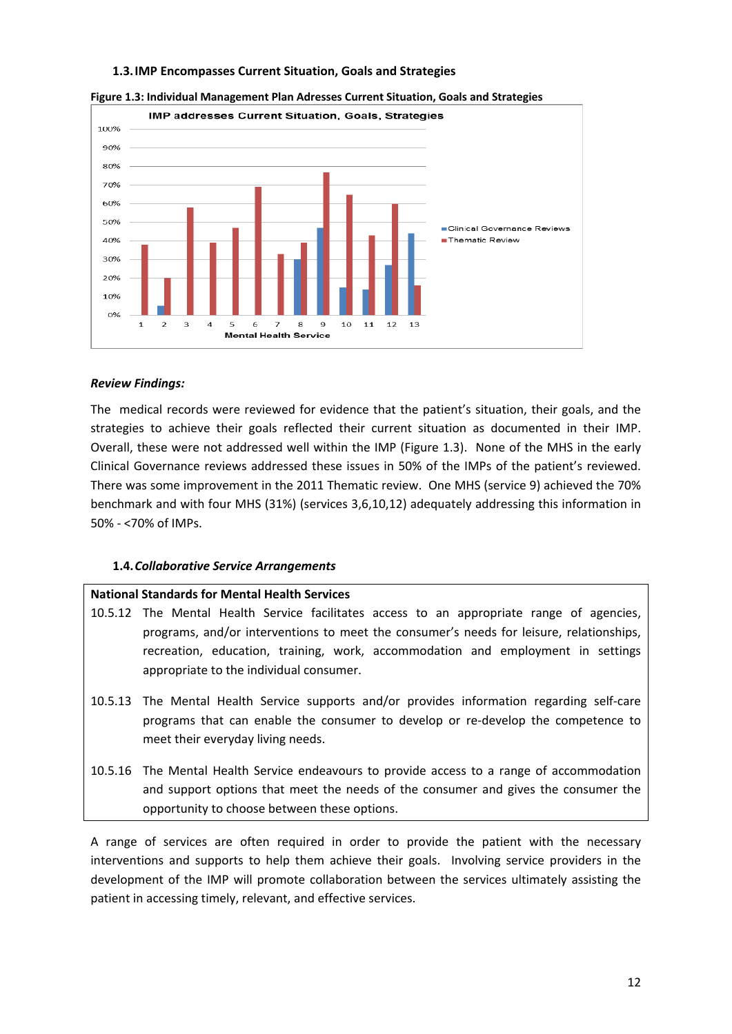#### **1.3.IMP Encompasses Current Situation, Goals and Strategies**



**Figure 1.3: Individual Management Plan Adresses Current Situation, Goals and Strategies**

#### *Review Findings:*

The medical records were reviewed for evidence that the patient's situation, their goals, and the strategies to achieve their goals reflected their current situation as documented in their IMP. Overall, these were not addressed well within the IMP (Figure 1.3). None of the MHS in the early Clinical Governance reviews addressed these issues in 50% of the IMPs of the patient's reviewed. There was some improvement in the 2011 Thematic review. One MHS (service 9) achieved the 70% benchmark and with four MHS (31%) (services 3,6,10,12) adequately addressing this information in 50% ‐ <70% of IMPs.

#### **1.4.***Collaborative Service Arrangements*

#### **National Standards for Mental Health Services**

- 10.5.12 The Mental Health Service facilitates access to an appropriate range of agencies, programs, and/or interventions to meet the consumer's needs for leisure, relationships, recreation, education, training, work, accommodation and employment in settings appropriate to the individual consumer.
- 10.5.13 The Mental Health Service supports and/or provides information regarding self‐care programs that can enable the consumer to develop or re‐develop the competence to meet their everyday living needs.
- 10.5.16 The Mental Health Service endeavours to provide access to a range of accommodation and support options that meet the needs of the consumer and gives the consumer the opportunity to choose between these options.

A range of services are often required in order to provide the patient with the necessary interventions and supports to help them achieve their goals. Involving service providers in the development of the IMP will promote collaboration between the services ultimately assisting the patient in accessing timely, relevant, and effective services.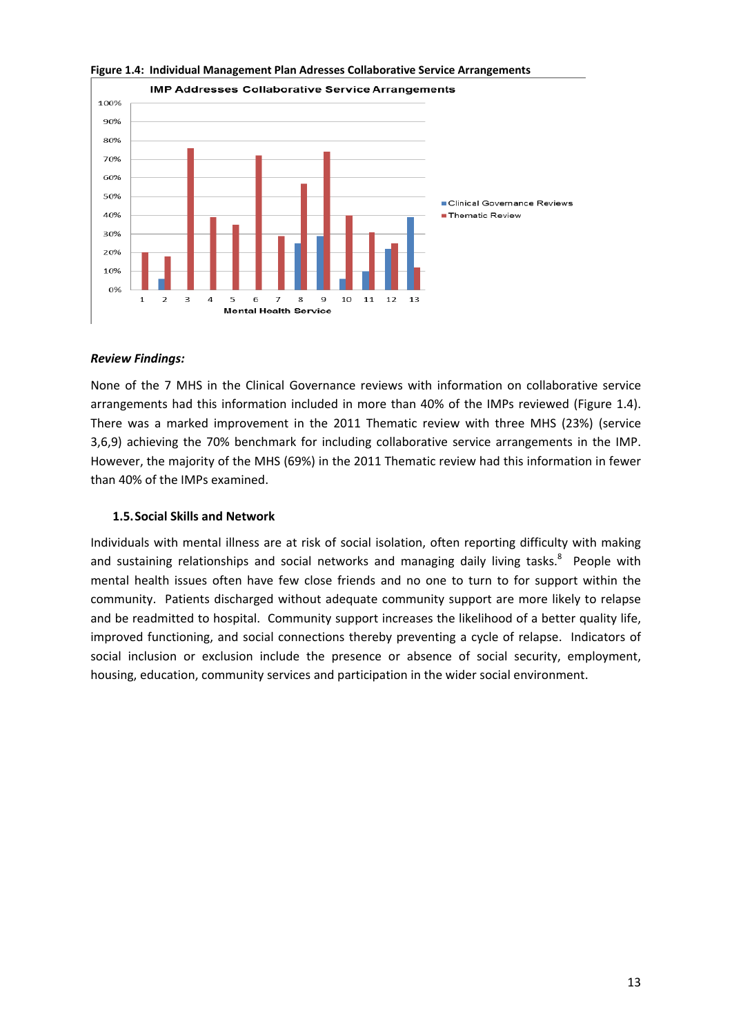

#### **Figure 1.4: Individual Management Plan Adresses Collaborative Service Arrangements**

#### *Review Findings:*

None of the 7 MHS in the Clinical Governance reviews with information on collaborative service arrangements had this information included in more than 40% of the IMPs reviewed (Figure 1.4). There was a marked improvement in the 2011 Thematic review with three MHS (23%) (service 3,6,9) achieving the 70% benchmark for including collaborative service arrangements in the IMP. However, the majority of the MHS (69%) in the 2011 Thematic review had this information in fewer than 40% of the IMPs examined.

#### **1.5.Social Skills and Network**

Individuals with mental illness are at risk of social isolation, often reporting difficulty with making and sustaining relationships and social networks and managing daily living tasks.<sup>8</sup> People with mental health issues often have few close friends and no one to turn to for support within the community. Patients discharged without adequate community support are more likely to relapse and be readmitted to hospital. Community support increases the likelihood of a better quality life, improved functioning, and social connections thereby preventing a cycle of relapse. Indicators of social inclusion or exclusion include the presence or absence of social security, employment, housing, education, community services and participation in the wider social environment.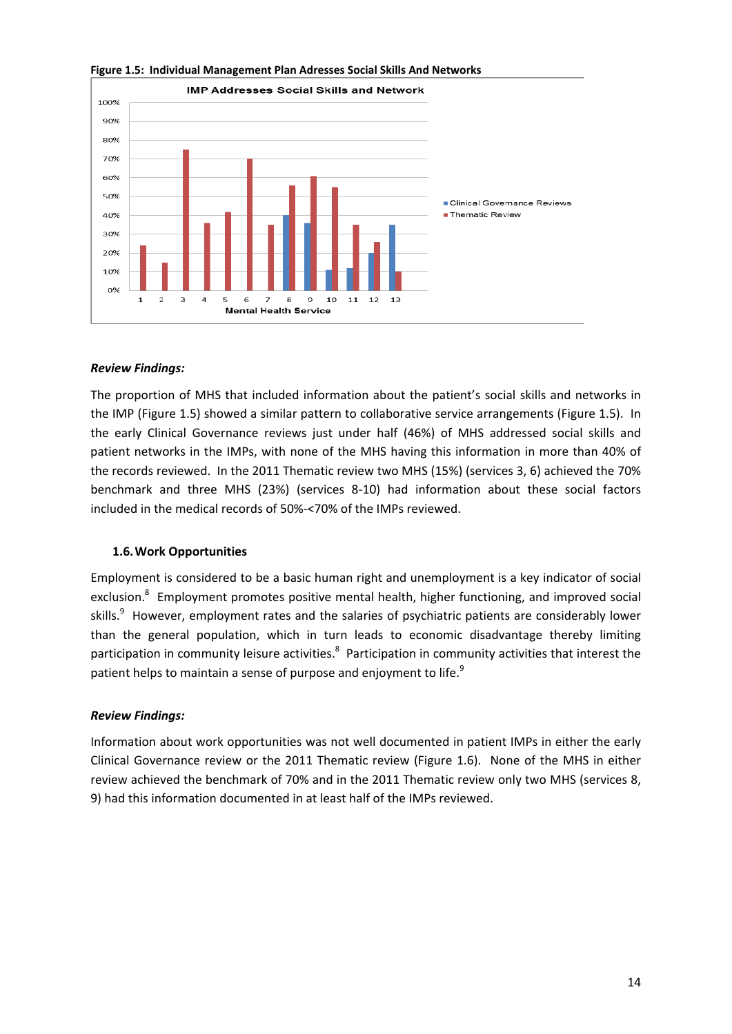

**Figure 1.5: Individual Management Plan Adresses Social Skills And Networks**

#### *Review Findings:*

The proportion of MHS that included information about the patient's social skills and networks in the IMP (Figure 1.5) showed a similar pattern to collaborative service arrangements (Figure 1.5). In the early Clinical Governance reviews just under half (46%) of MHS addressed social skills and patient networks in the IMPs, with none of the MHS having this information in more than 40% of the records reviewed. In the 2011 Thematic review two MHS (15%) (services 3, 6) achieved the 70% benchmark and three MHS (23%) (services 8‐10) had information about these social factors included in the medical records of 50%‐<70% of the IMPs reviewed.

#### **1.6.Work Opportunities**

Employment is considered to be a basic human right and unemployment is a key indicator of social exclusion.<sup>8</sup> Employment promotes positive mental health, higher functioning, and improved social skills.<sup>9</sup> However, employment rates and the salaries of psychiatric patients are considerably lower than the general population, which in turn leads to economic disadvantage thereby limiting participation in community leisure activities.<sup>8</sup> Participation in community activities that interest the patient helps to maintain a sense of purpose and enjoyment to life. $^{9}$ 

#### *Review Findings:*

Information about work opportunities was not well documented in patient IMPs in either the early Clinical Governance review or the 2011 Thematic review (Figure 1.6). None of the MHS in either review achieved the benchmark of 70% and in the 2011 Thematic review only two MHS (services 8, 9) had this information documented in at least half of the IMPs reviewed.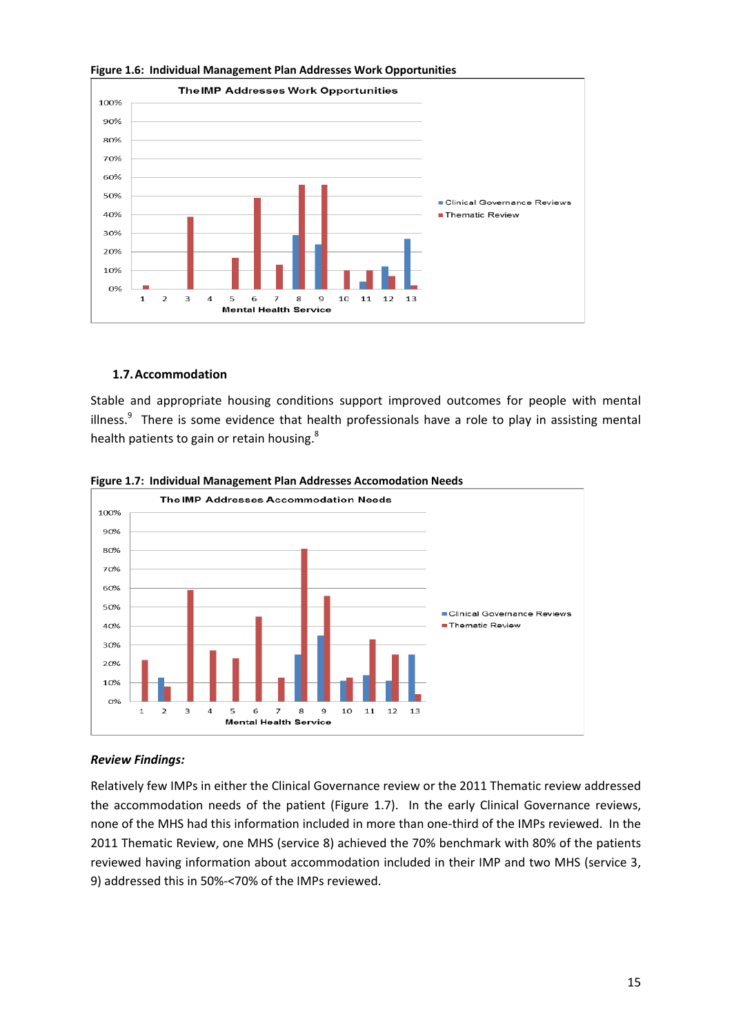

**Figure 1.6: Individual Management Plan Addresses Work Opportunities**

#### **1.7.Accommodation**

Stable and appropriate housing conditions support improved outcomes for people with mental illness.<sup>9</sup> There is some evidence that health professionals have a role to play in assisting mental health patients to gain or retain housing.<sup>8</sup>



**Figure 1.7: Individual Management Plan Addresses Accomodation Needs**

#### *Review Findings:*

Relatively few IMPs in either the Clinical Governance review or the 2011 Thematic review addressed the accommodation needs of the patient (Figure 1.7). In the early Clinical Governance reviews, none of the MHS had this information included in more than one‐third of the IMPs reviewed. In the 2011 Thematic Review, one MHS (service 8) achieved the 70% benchmark with 80% of the patients reviewed having information about accommodation included in their IMP and two MHS (service 3, 9) addressed this in 50%‐<70% of the IMPs reviewed.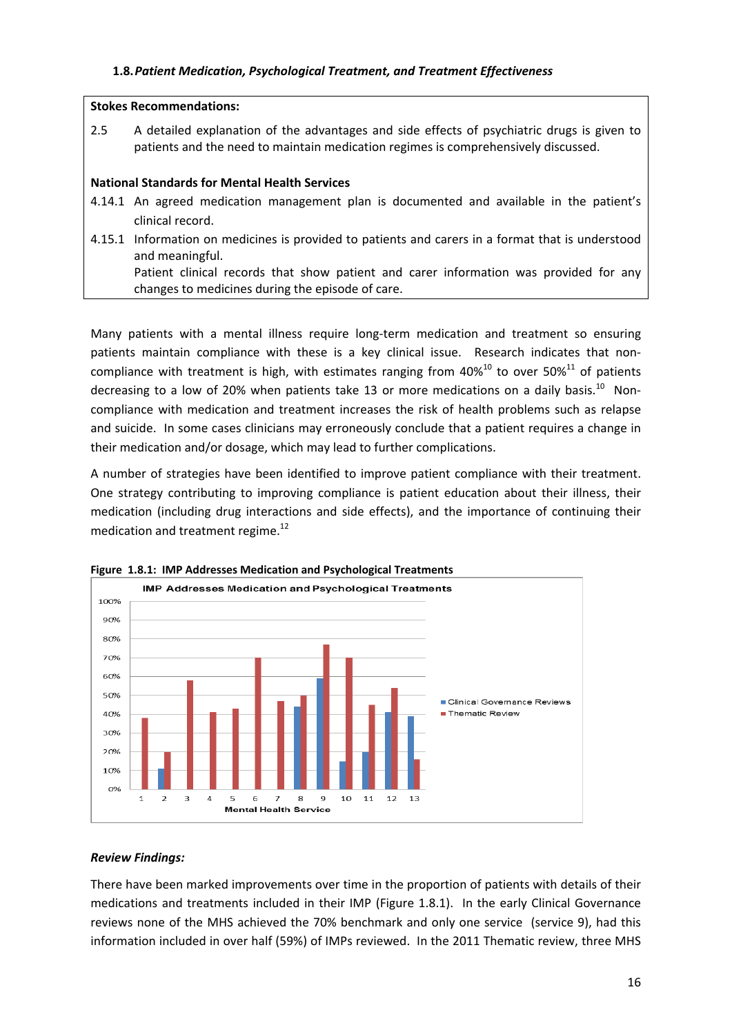#### **Stokes Recommendations:**

2.5 A detailed explanation of the advantages and side effects of psychiatric drugs is given to patients and the need to maintain medication regimes is comprehensively discussed.

#### **National Standards for Mental Health Services**

- 4.14.1 An agreed medication management plan is documented and available in the patient's clinical record.
- 4.15.1 Information on medicines is provided to patients and carers in a format that is understood and meaningful. Patient clinical records that show patient and carer information was provided for any changes to medicines during the episode of care.

Many patients with a mental illness require long‐term medication and treatment so ensuring patients maintain compliance with these is a key clinical issue. Research indicates that noncompliance with treatment is high, with estimates ranging from  $40\%^{10}$  to over 50%<sup>11</sup> of patients decreasing to a low of 20% when patients take 13 or more medications on a daily basis.<sup>10</sup> Noncompliance with medication and treatment increases the risk of health problems such as relapse and suicide. In some cases clinicians may erroneously conclude that a patient requires a change in their medication and/or dosage, which may lead to further complications.

A number of strategies have been identified to improve patient compliance with their treatment. One strategy contributing to improving compliance is patient education about their illness, their medication (including drug interactions and side effects), and the importance of continuing their medication and treatment regime.<sup>12</sup>



**Figure 1.8.1: IMP Addresses Medication and Psychological Treatments**

#### *Review Findings:*

There have been marked improvements over time in the proportion of patients with details of their medications and treatments included in their IMP (Figure 1.8.1). In the early Clinical Governance reviews none of the MHS achieved the 70% benchmark and only one service (service 9), had this information included in over half (59%) of IMPs reviewed. In the 2011 Thematic review, three MHS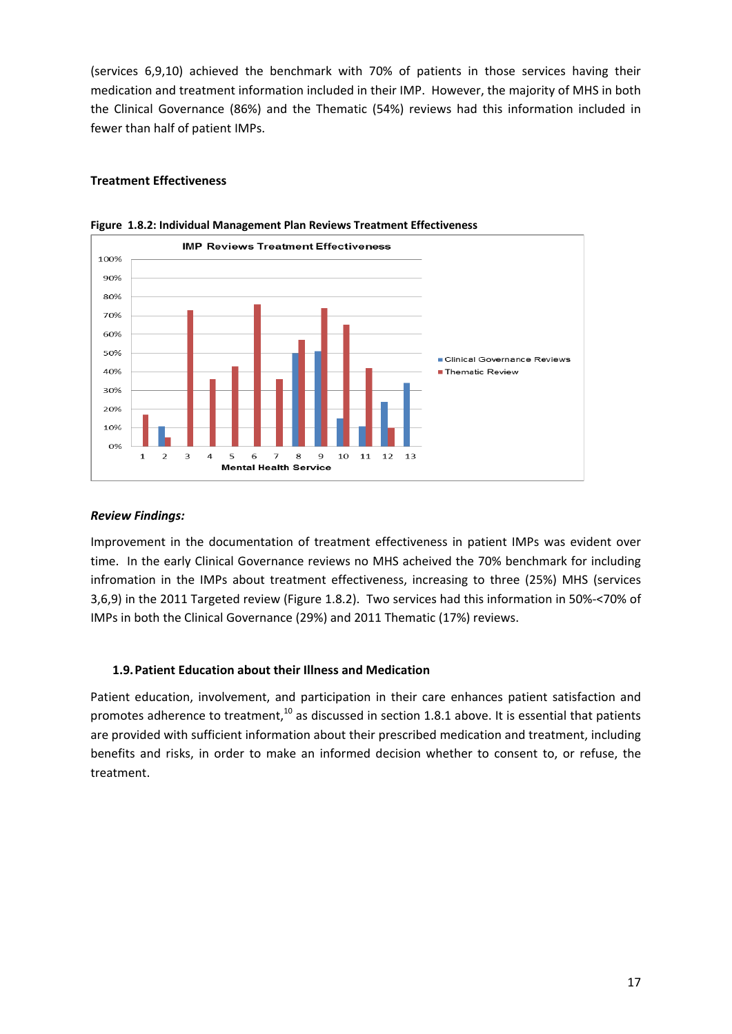(services 6,9,10) achieved the benchmark with 70% of patients in those services having their medication and treatment information included in their IMP. However, the majority of MHS in both the Clinical Governance (86%) and the Thematic (54%) reviews had this information included in fewer than half of patient IMPs.

#### **Treatment Effectiveness**



**Figure 1.8.2: Individual Management Plan Reviews Treatment Effectiveness** 

#### *Review Findings:*

Improvement in the documentation of treatment effectiveness in patient IMPs was evident over time. In the early Clinical Governance reviews no MHS acheived the 70% benchmark for including infromation in the IMPs about treatment effectiveness, increasing to three (25%) MHS (services 3,6,9) in the 2011 Targeted review (Figure 1.8.2). Two services had this information in 50%‐<70% of IMPs in both the Clinical Governance (29%) and 2011 Thematic (17%) reviews.

#### **1.9.Patient Education about their Illness and Medication**

Patient education, involvement, and participation in their care enhances patient satisfaction and promotes adherence to treatment, $10$  as discussed in section 1.8.1 above. It is essential that patients are provided with sufficient information about their prescribed medication and treatment, including benefits and risks, in order to make an informed decision whether to consent to, or refuse, the treatment.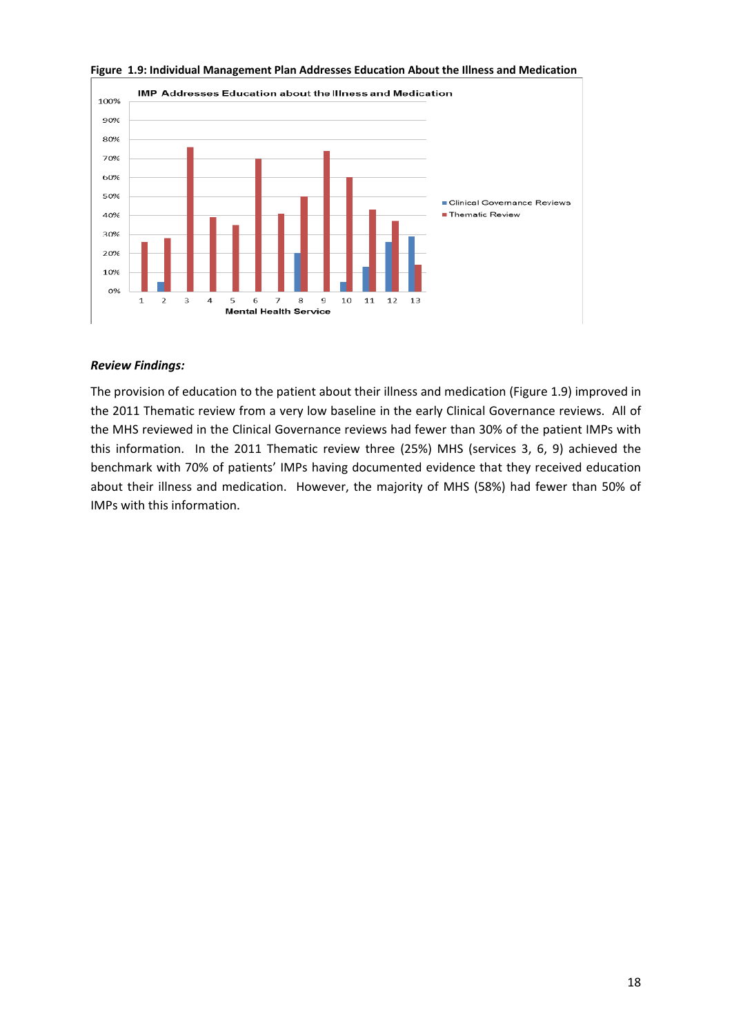

**Figure 1.9: Individual Management Plan Addresses Education About the Illness and Medication**

#### *Review Findings:*

The provision of education to the patient about their illness and medication (Figure 1.9) improved in the 2011 Thematic review from a very low baseline in the early Clinical Governance reviews. All of the MHS reviewed in the Clinical Governance reviews had fewer than 30% of the patient IMPs with this information. In the 2011 Thematic review three (25%) MHS (services 3, 6, 9) achieved the benchmark with 70% of patients' IMPs having documented evidence that they received education about their illness and medication. However, the majority of MHS (58%) had fewer than 50% of IMPs with this information.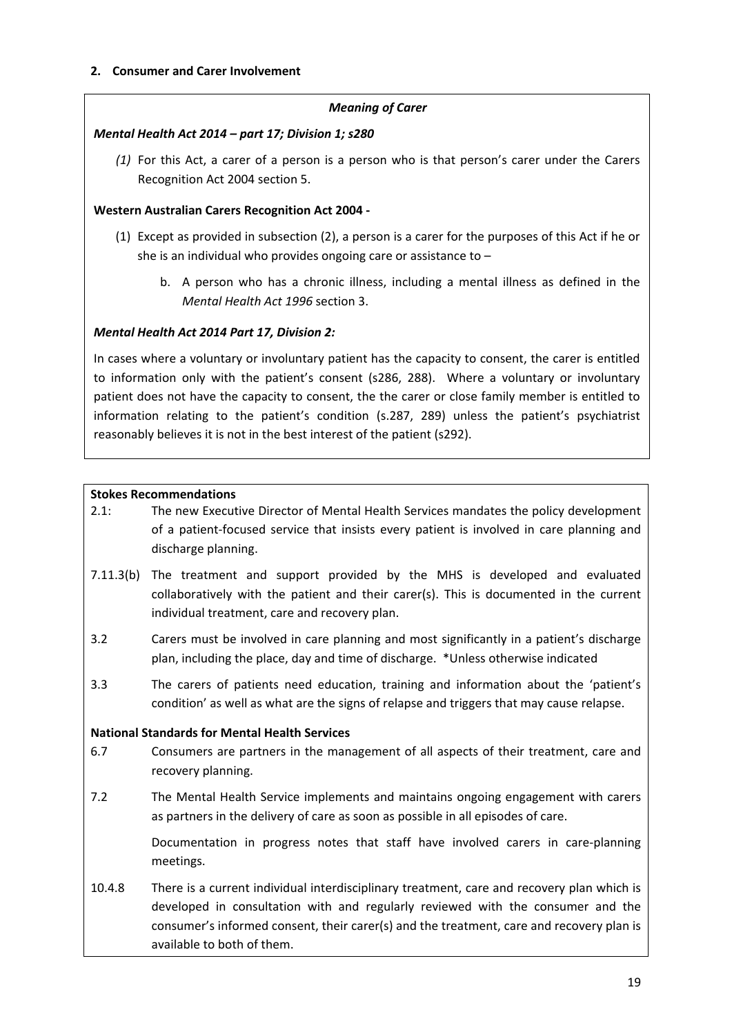#### *Meaning of Carer*

#### *Mental Health Act 2014 – part 17; Division 1; s280*

*(1)* For this Act, a carer of a person is a person who is that person's carer under the Carers Recognition Act 2004 section 5.

#### **Western Australian Carers Recognition Act 2004 ‐**

- (1) Except as provided in subsection (2), a person is a carer for the purposes of this Act if he or she is an individual who provides ongoing care or assistance to –
	- b. A person who has a chronic illness, including a mental illness as defined in the *Mental Health Act 1996* section 3.

#### *Mental Health Act 2014 Part 17, Division 2:*

In cases where a voluntary or involuntary patient has the capacity to consent, the carer is entitled to information only with the patient's consent (s286, 288). Where a voluntary or involuntary patient does not have the capacity to consent, the the carer or close family member is entitled to information relating to the patient's condition (s.287, 289) unless the patient's psychiatrist reasonably believes it is not in the best interest of the patient (s292).

#### **Stokes Recommendations**

- 2.1: The new Executive Director of Mental Health Services mandates the policy development of a patient‐focused service that insists every patient is involved in care planning and discharge planning.
- 7.11.3(b) The treatment and support provided by the MHS is developed and evaluated collaboratively with the patient and their carer(s). This is documented in the current individual treatment, care and recovery plan.
- 3.2 Carers must be involved in care planning and most significantly in a patient's discharge plan, including the place, day and time of discharge. \*Unless otherwise indicated
- 3.3 The carers of patients need education, training and information about the 'patient's condition' as well as what are the signs of relapse and triggers that may cause relapse.

#### **National Standards for Mental Health Services**

- 6.7 Consumers are partners in the management of all aspects of their treatment, care and recovery planning.
- 7.2 The Mental Health Service implements and maintains ongoing engagement with carers as partners in the delivery of care as soon as possible in all episodes of care.

Documentation in progress notes that staff have involved carers in care-planning meetings.

10.4.8 There is a current individual interdisciplinary treatment, care and recovery plan which is developed in consultation with and regularly reviewed with the consumer and the consumer's informed consent, their carer(s) and the treatment, care and recovery plan is available to both of them.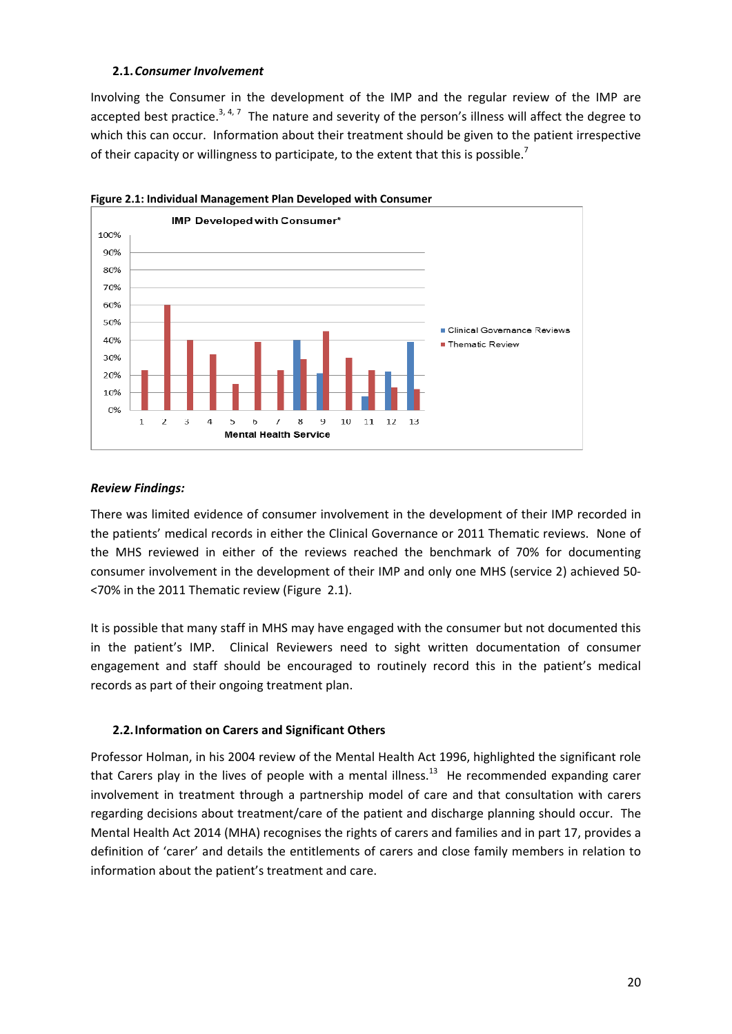#### **2.1.***Consumer Involvement*

Involving the Consumer in the development of the IMP and the regular review of the IMP are accepted best practice.<sup>3, 4, 7</sup> The nature and severity of the person's illness will affect the degree to which this can occur. Information about their treatment should be given to the patient irrespective of their capacity or willingness to participate, to the extent that this is possible.<sup>7</sup>





#### *Review Findings:*

There was limited evidence of consumer involvement in the development of their IMP recorded in the patients' medical records in either the Clinical Governance or 2011 Thematic reviews. None of the MHS reviewed in either of the reviews reached the benchmark of 70% for documenting consumer involvement in the development of their IMP and only one MHS (service 2) achieved 50‐ <70% in the 2011 Thematic review (Figure 2.1).

It is possible that many staff in MHS may have engaged with the consumer but not documented this in the patient's IMP. Clinical Reviewers need to sight written documentation of consumer engagement and staff should be encouraged to routinely record this in the patient's medical records as part of their ongoing treatment plan.

#### **2.2.Information on Carers and Significant Others**

Professor Holman, in his 2004 review of the Mental Health Act 1996, highlighted the significant role that Carers play in the lives of people with a mental illness.<sup>13</sup> He recommended expanding carer involvement in treatment through a partnership model of care and that consultation with carers regarding decisions about treatment/care of the patient and discharge planning should occur. The Mental Health Act 2014 (MHA) recognises the rights of carers and families and in part 17, provides a definition of 'carer' and details the entitlements of carers and close family members in relation to information about the patient's treatment and care.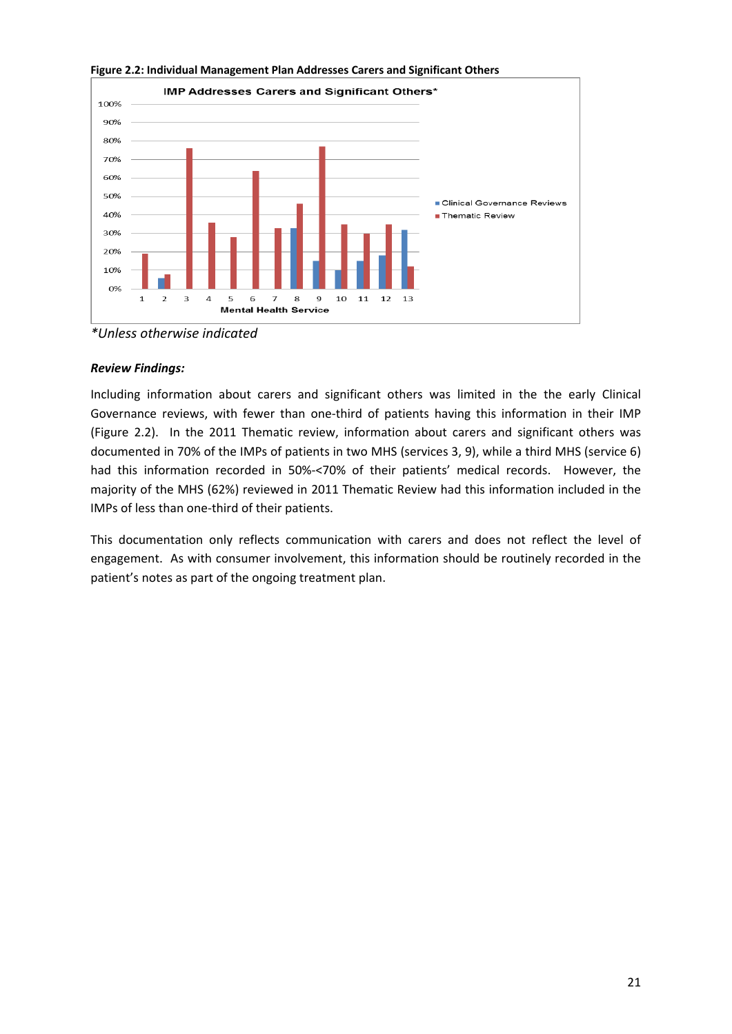

**Figure 2.2: Individual Management Plan Addresses Carers and Significant Others**

*\*Unless otherwise indicated*

#### *Review Findings:*

Including information about carers and significant others was limited in the the early Clinical Governance reviews, with fewer than one-third of patients having this information in their IMP (Figure 2.2). In the 2011 Thematic review, information about carers and significant others was documented in 70% of the IMPs of patients in two MHS (services 3, 9), while a third MHS (service 6) had this information recorded in 50%-<70% of their patients' medical records. However, the majority of the MHS (62%) reviewed in 2011 Thematic Review had this information included in the IMPs of less than one‐third of their patients.

This documentation only reflects communication with carers and does not reflect the level of engagement. As with consumer involvement, this information should be routinely recorded in the patient's notes as part of the ongoing treatment plan.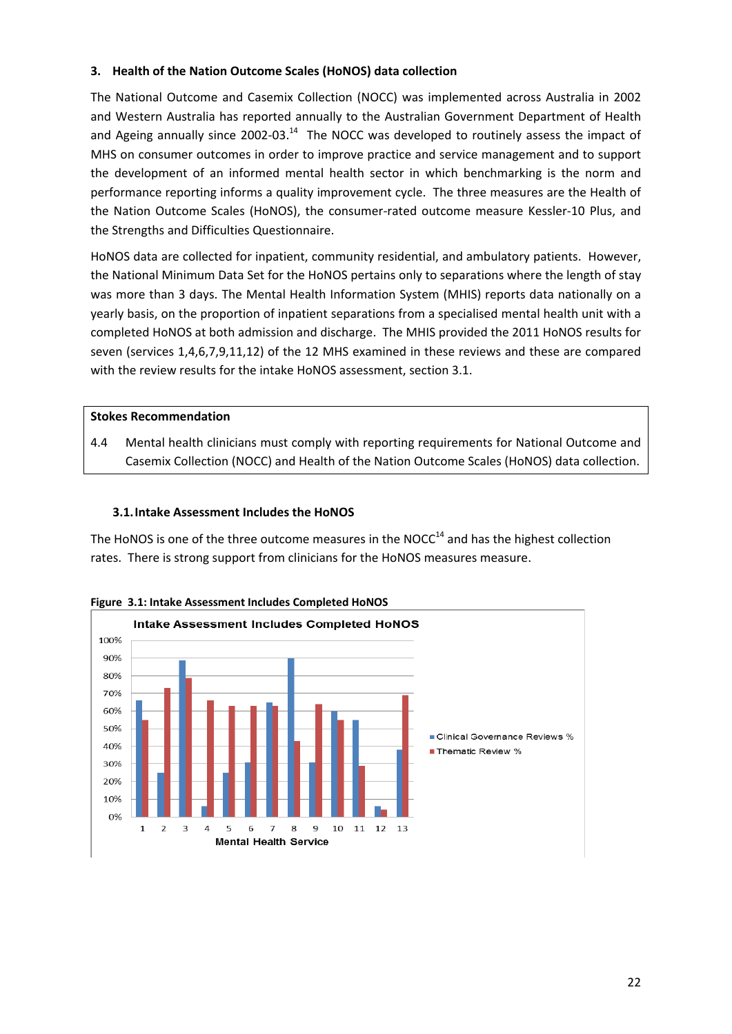#### **3. Health of the Nation Outcome Scales (HoNOS) data collection**

The National Outcome and Casemix Collection (NOCC) was implemented across Australia in 2002 and Western Australia has reported annually to the Australian Government Department of Health and Ageing annually since 2002-03. $^{14}$  The NOCC was developed to routinely assess the impact of MHS on consumer outcomes in order to improve practice and service management and to support the development of an informed mental health sector in which benchmarking is the norm and performance reporting informs a quality improvement cycle. The three measures are the Health of the Nation Outcome Scales (HoNOS), the consumer-rated outcome measure Kessler-10 Plus, and the Strengths and Difficulties Questionnaire.

HoNOS data are collected for inpatient, community residential, and ambulatory patients. However, the National Minimum Data Set for the HoNOS pertains only to separations where the length of stay was more than 3 days. The Mental Health Information System (MHIS) reports data nationally on a yearly basis, on the proportion of inpatient separations from a specialised mental health unit with a completed HoNOS at both admission and discharge. The MHIS provided the 2011 HoNOS results for seven (services 1,4,6,7,9,11,12) of the 12 MHS examined in these reviews and these are compared with the review results for the intake HoNOS assessment, section 3.1.

#### **Stokes Recommendation**

4.4 Mental health clinicians must comply with reporting requirements for National Outcome and Casemix Collection (NOCC) and Health of the Nation Outcome Scales (HoNOS) data collection.

#### **3.1.Intake Assessment Includes the HoNOS**

The HoNOS is one of the three outcome measures in the NOCC $<sup>14</sup>$  and has the highest collection</sup> rates. There is strong support from clinicians for the HoNOS measures measure.



**Figure 3.1: Intake Assessment Includes Completed HoNOS**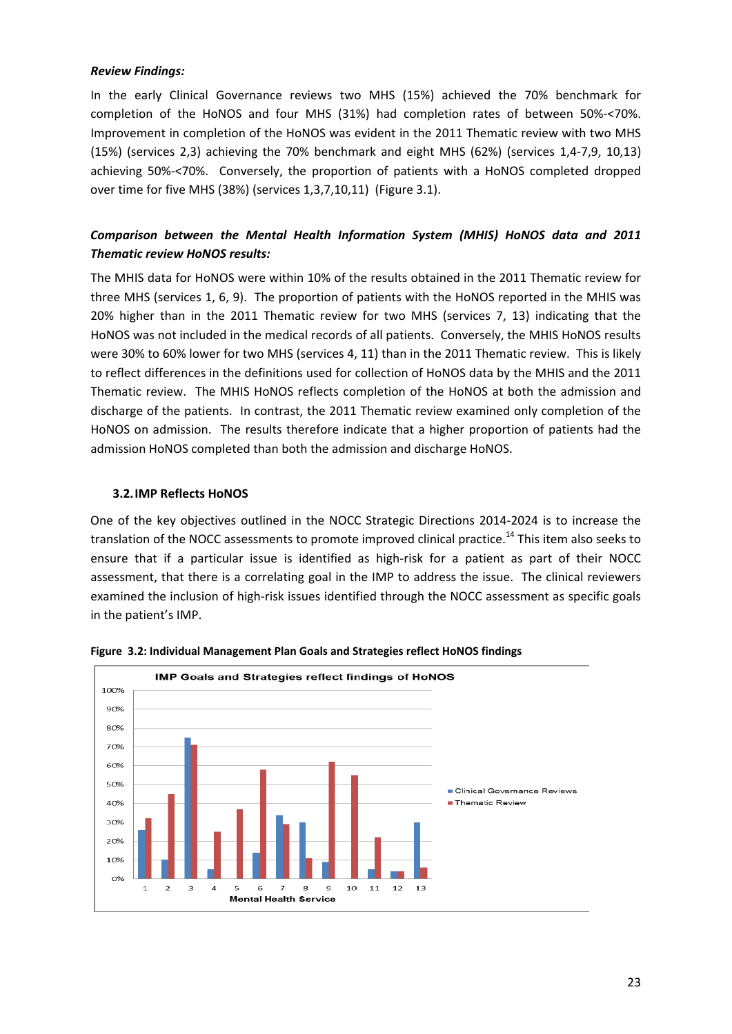#### *Review Findings:*

In the early Clinical Governance reviews two MHS (15%) achieved the 70% benchmark for completion of the HoNOS and four MHS (31%) had completion rates of between 50%‐<70%. Improvement in completion of the HoNOS was evident in the 2011 Thematic review with two MHS (15%) (services 2,3) achieving the 70% benchmark and eight MHS (62%) (services 1,4‐7,9, 10,13) achieving 50%-<70%. Conversely, the proportion of patients with a HoNOS completed dropped over time for five MHS (38%) (services 1,3,7,10,11) (Figure 3.1).

### *Comparison between the Mental Health Information System (MHIS) HoNOS data and 2011 Thematic review HoNOS results:*

The MHIS data for HoNOS were within 10% of the results obtained in the 2011 Thematic review for three MHS (services 1, 6, 9). The proportion of patients with the HoNOS reported in the MHIS was 20% higher than in the 2011 Thematic review for two MHS (services 7, 13) indicating that the HoNOS was not included in the medical records of all patients. Conversely, the MHIS HoNOS results were 30% to 60% lower for two MHS (services 4, 11) than in the 2011 Thematic review. This is likely to reflect differences in the definitions used for collection of HoNOS data by the MHIS and the 2011 Thematic review. The MHIS HoNOS reflects completion of the HoNOS at both the admission and discharge of the patients. In contrast, the 2011 Thematic review examined only completion of the HoNOS on admission. The results therefore indicate that a higher proportion of patients had the admission HoNOS completed than both the admission and discharge HoNOS.

#### **3.2.IMP Reflects HoNOS**

One of the key objectives outlined in the NOCC Strategic Directions 2014‐2024 is to increase the translation of the NOCC assessments to promote improved clinical practice.<sup>14</sup> This item also seeks to ensure that if a particular issue is identified as high-risk for a patient as part of their NOCC assessment, that there is a correlating goal in the IMP to address the issue. The clinical reviewers examined the inclusion of high-risk issues identified through the NOCC assessment as specific goals in the patient's IMP.



**Figure 3.2: Individual Management Plan Goals and Strategies reflect HoNOS findings**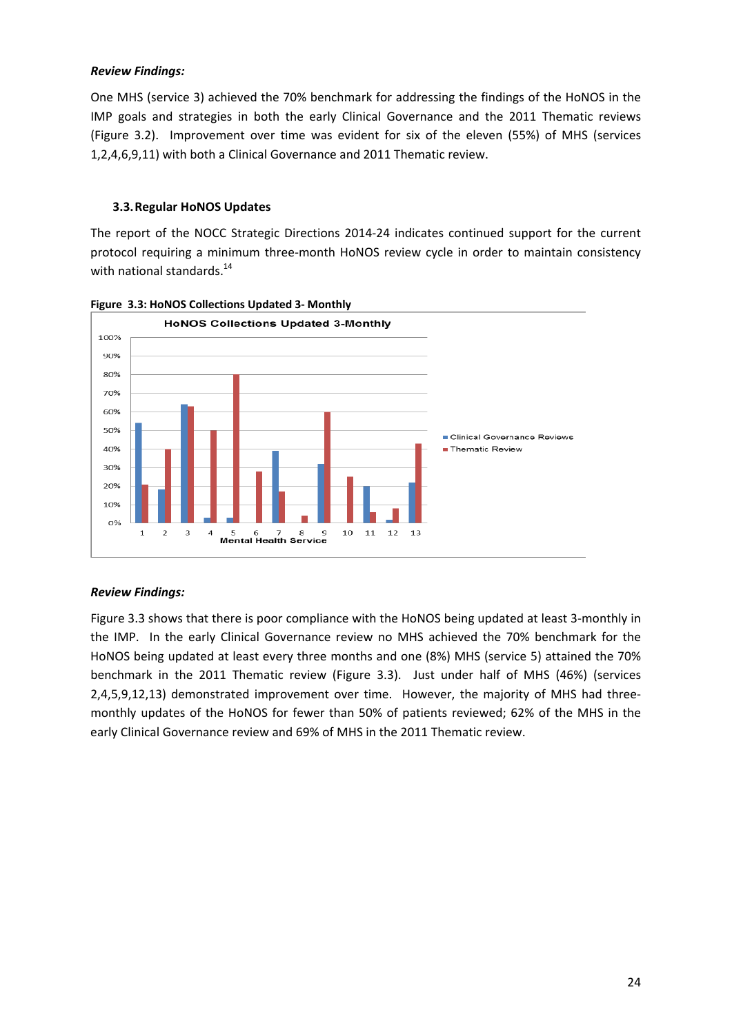#### *Review Findings:*

One MHS (service 3) achieved the 70% benchmark for addressing the findings of the HoNOS in the IMP goals and strategies in both the early Clinical Governance and the 2011 Thematic reviews (Figure 3.2). Improvement over time was evident for six of the eleven (55%) of MHS (services 1,2,4,6,9,11) with both a Clinical Governance and 2011 Thematic review.

#### **3.3.Regular HoNOS Updates**

The report of the NOCC Strategic Directions 2014‐24 indicates continued support for the current protocol requiring a minimum three‐month HoNOS review cycle in order to maintain consistency with national standards. $^{14}$ 



**Figure 3.3: HoNOS Collections Updated 3‐ Monthly**

#### *Review Findings:*

Figure 3.3 shows that there is poor compliance with the HoNOS being updated at least 3-monthly in the IMP. In the early Clinical Governance review no MHS achieved the 70% benchmark for the HoNOS being updated at least every three months and one (8%) MHS (service 5) attained the 70% benchmark in the 2011 Thematic review (Figure 3.3). Just under half of MHS (46%) (services 2,4,5,9,12,13) demonstrated improvement over time. However, the majority of MHS had threemonthly updates of the HoNOS for fewer than 50% of patients reviewed; 62% of the MHS in the early Clinical Governance review and 69% of MHS in the 2011 Thematic review.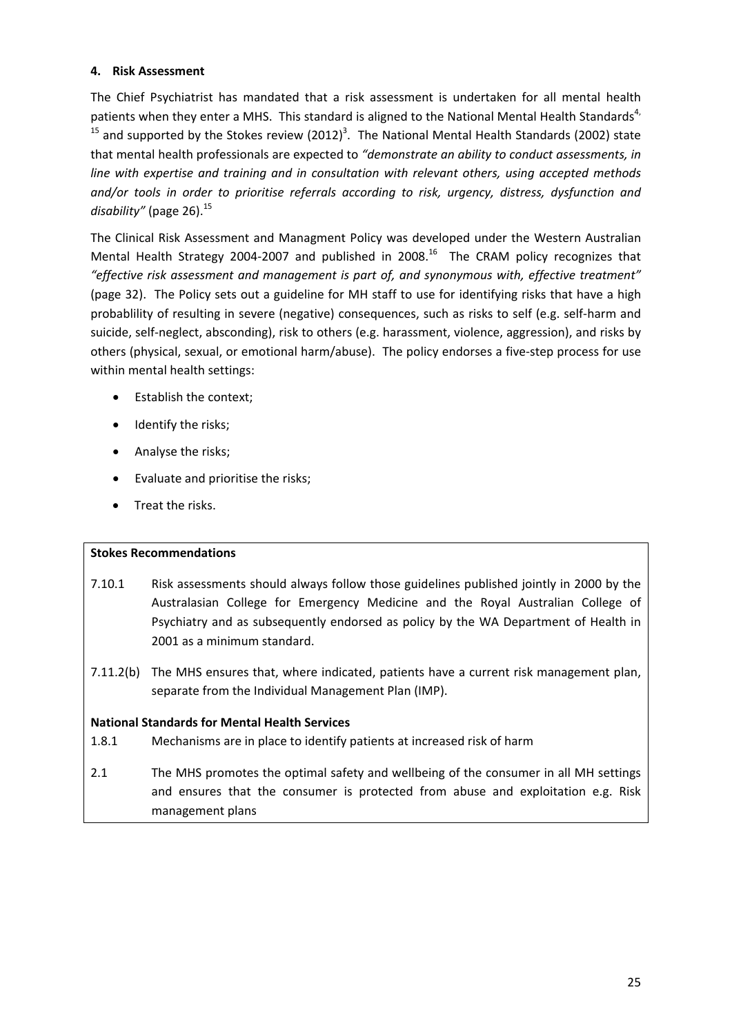#### **4. Risk Assessment**

The Chief Psychiatrist has mandated that a risk assessment is undertaken for all mental health patients when they enter a MHS. This standard is aligned to the National Mental Health Standards<sup>4,</sup> <sup>15</sup> and supported by the Stokes review (2012)<sup>3</sup>. The National Mental Health Standards (2002) state that mental health professionals are expected to *"demonstrate an ability to conduct assessments, in line with expertise and training and in consultation with relevant others, using accepted methods and/or tools in order to prioritise referrals according to risk, urgency, distress, dysfunction and* disability" (page 26).<sup>15</sup>

The Clinical Risk Assessment and Managment Policy was developed under the Western Australian Mental Health Strategy 2004-2007 and published in 2008.<sup>16</sup> The CRAM policy recognizes that *"effective risk assessment and management is part of, and synonymous with, effective treatment"* (page 32). The Policy sets out a guideline for MH staff to use for identifying risks that have a high probablility of resulting in severe (negative) consequences, such as risks to self (e.g. self‐harm and suicide, self-neglect, absconding), risk to others (e.g. harassment, violence, aggression), and risks by others (physical, sexual, or emotional harm/abuse). The policy endorses a five‐step process for use within mental health settings:

- Establish the context;
- Identify the risks;
- Analyse the risks;
- Evaluate and prioritise the risks;
- Treat the risks.

#### **Stokes Recommendations**

- 7.10.1 Risk assessments should always follow those guidelines published jointly in 2000 by the Australasian College for Emergency Medicine and the Royal Australian College of Psychiatry and as subsequently endorsed as policy by the WA Department of Health in 2001 as a minimum standard.
- 7.11.2(b) The MHS ensures that, where indicated, patients have a current risk management plan, separate from the Individual Management Plan (IMP).

#### **National Standards for Mental Health Services**

- 1.8.1 Mechanisms are in place to identify patients at increased risk of harm
- 2.1 The MHS promotes the optimal safety and wellbeing of the consumer in all MH settings and ensures that the consumer is protected from abuse and exploitation e.g. Risk management plans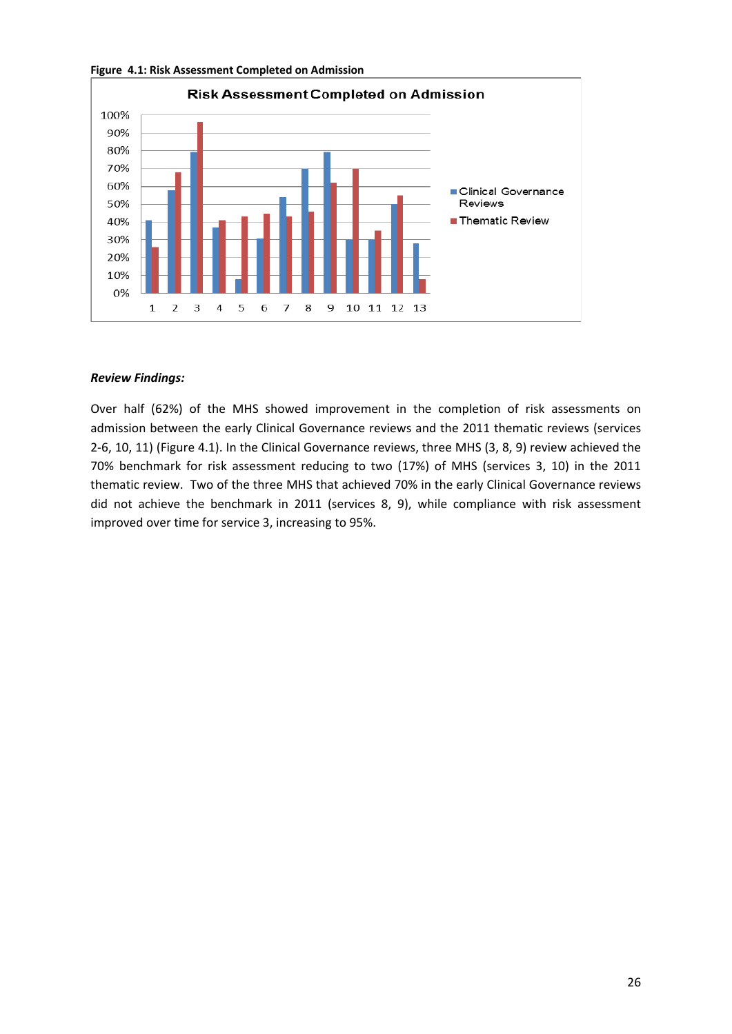

**Figure 4.1: Risk Assessment Completed on Admission**

#### *Review Findings:*

Over half (62%) of the MHS showed improvement in the completion of risk assessments on admission between the early Clinical Governance reviews and the 2011 thematic reviews (services 2‐6, 10, 11) (Figure 4.1). In the Clinical Governance reviews, three MHS (3, 8, 9) review achieved the 70% benchmark for risk assessment reducing to two (17%) of MHS (services 3, 10) in the 2011 thematic review. Two of the three MHS that achieved 70% in the early Clinical Governance reviews did not achieve the benchmark in 2011 (services 8, 9), while compliance with risk assessment improved over time for service 3, increasing to 95%.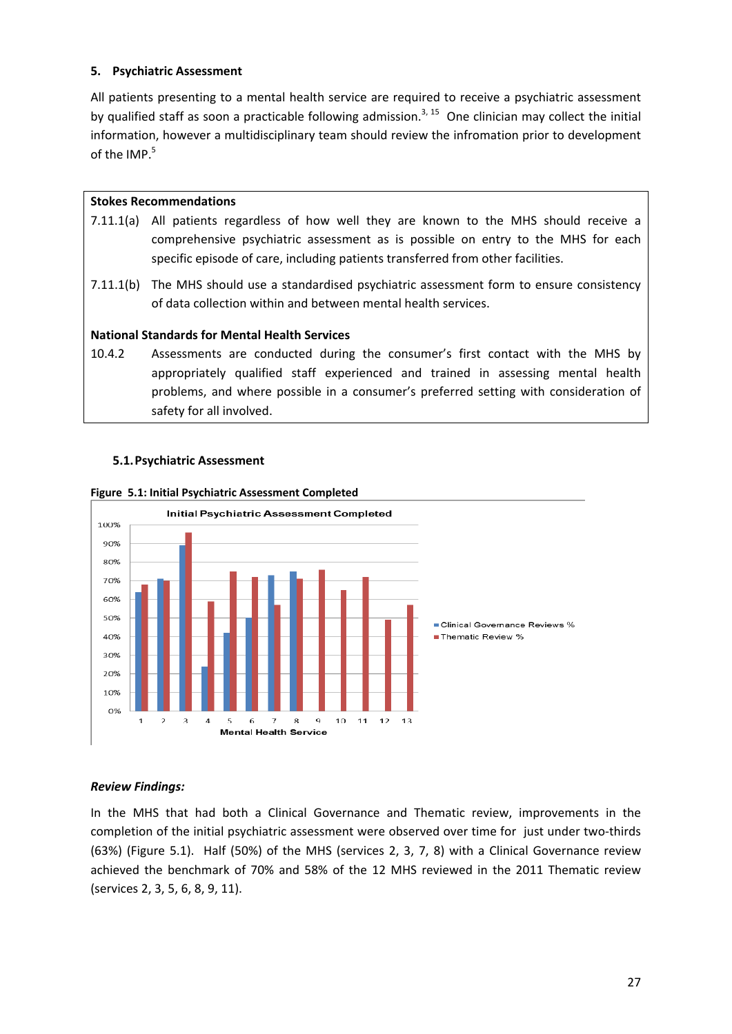#### **5. Psychiatric Assessment**

All patients presenting to a mental health service are required to receive a psychiatric assessment by qualified staff as soon a practicable following admission.<sup>3, 15</sup> One clinician may collect the initial information, however a multidisciplinary team should review the infromation prior to development of the IMP.<sup>5</sup>

#### **Stokes Recommendations**

- 7.11.1(a) All patients regardless of how well they are known to the MHS should receive a comprehensive psychiatric assessment as is possible on entry to the MHS for each specific episode of care, including patients transferred from other facilities.
- 7.11.1(b) The MHS should use a standardised psychiatric assessment form to ensure consistency of data collection within and between mental health services.

#### **National Standards for Mental Health Services**

10.4.2 Assessments are conducted during the consumer's first contact with the MHS by appropriately qualified staff experienced and trained in assessing mental health problems, and where possible in a consumer's preferred setting with consideration of safety for all involved.



**5.1.Psychiatric Assessment**

#### *Review Findings:*

In the MHS that had both a Clinical Governance and Thematic review, improvements in the completion of the initial psychiatric assessment were observed over time for just under two-thirds (63%) (Figure 5.1). Half (50%) of the MHS (services 2, 3, 7, 8) with a Clinical Governance review achieved the benchmark of 70% and 58% of the 12 MHS reviewed in the 2011 Thematic review (services 2, 3, 5, 6, 8, 9, 11).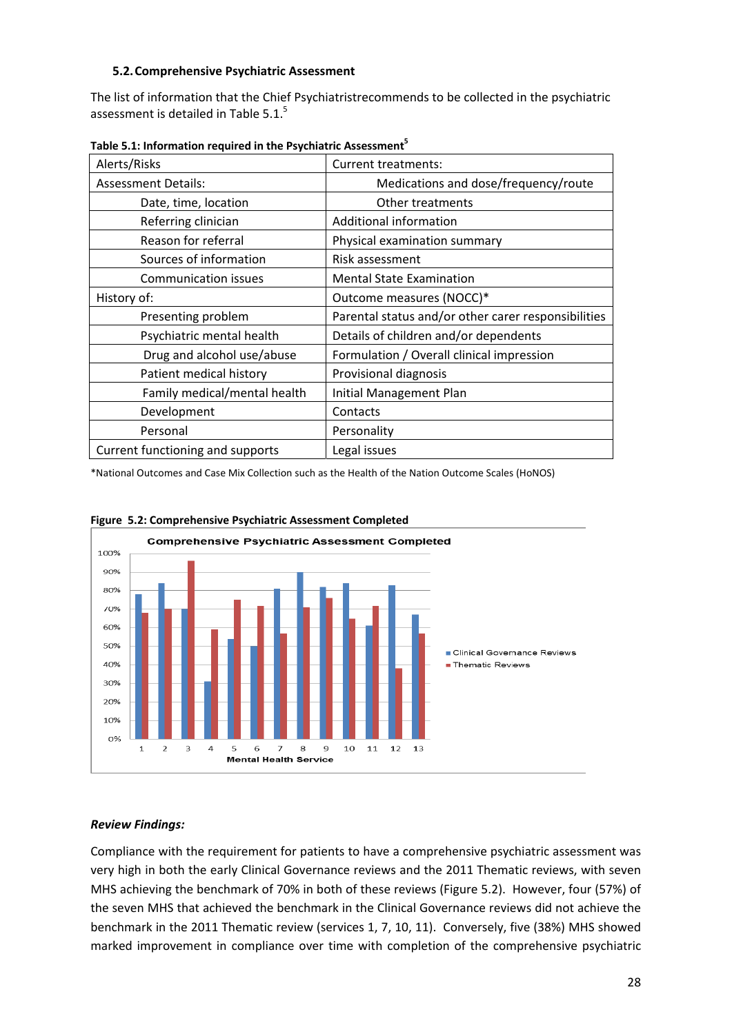#### **5.2.Comprehensive Psychiatric Assessment**

The list of information that the Chief Psychiatristrecommends to be collected in the psychiatric assessment is detailed in Table 5.1.<sup>5</sup>

| Alerts/Risks                     | <b>Current treatments:</b>                          |
|----------------------------------|-----------------------------------------------------|
| <b>Assessment Details:</b>       | Medications and dose/frequency/route                |
| Date, time, location             | Other treatments                                    |
| Referring clinician              | Additional information                              |
| Reason for referral              | Physical examination summary                        |
| Sources of information           | Risk assessment                                     |
| <b>Communication issues</b>      | <b>Mental State Examination</b>                     |
| History of:                      | Outcome measures (NOCC)*                            |
| Presenting problem               | Parental status and/or other carer responsibilities |
| Psychiatric mental health        | Details of children and/or dependents               |
| Drug and alcohol use/abuse       | Formulation / Overall clinical impression           |
| Patient medical history          | Provisional diagnosis                               |
| Family medical/mental health     | Initial Management Plan                             |
| Development                      | Contacts                                            |
| Personal                         | Personality                                         |
| Current functioning and supports | Legal issues                                        |

**Table 5.1: Information required in the Psychiatric Assessment5**

\*National Outcomes and Case Mix Collection such as the Health of the Nation Outcome Scales (HoNOS)





#### *Review Findings:*

Compliance with the requirement for patients to have a comprehensive psychiatric assessment was very high in both the early Clinical Governance reviews and the 2011 Thematic reviews, with seven MHS achieving the benchmark of 70% in both of these reviews (Figure 5.2). However, four (57%) of the seven MHS that achieved the benchmark in the Clinical Governance reviews did not achieve the benchmark in the 2011 Thematic review (services 1, 7, 10, 11). Conversely, five (38%) MHS showed marked improvement in compliance over time with completion of the comprehensive psychiatric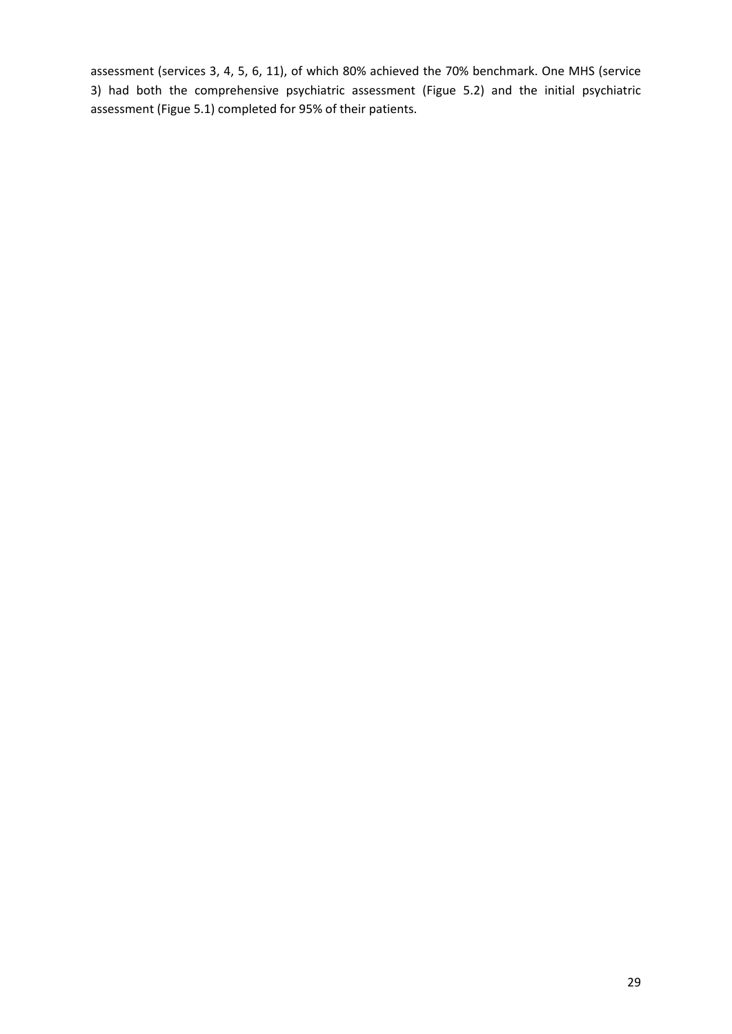assessment (services 3, 4, 5, 6, 11), of which 80% achieved the 70% benchmark. One MHS (service 3) had both the comprehensive psychiatric assessment (Figue 5.2) and the initial psychiatric assessment (Figue 5.1) completed for 95% of their patients.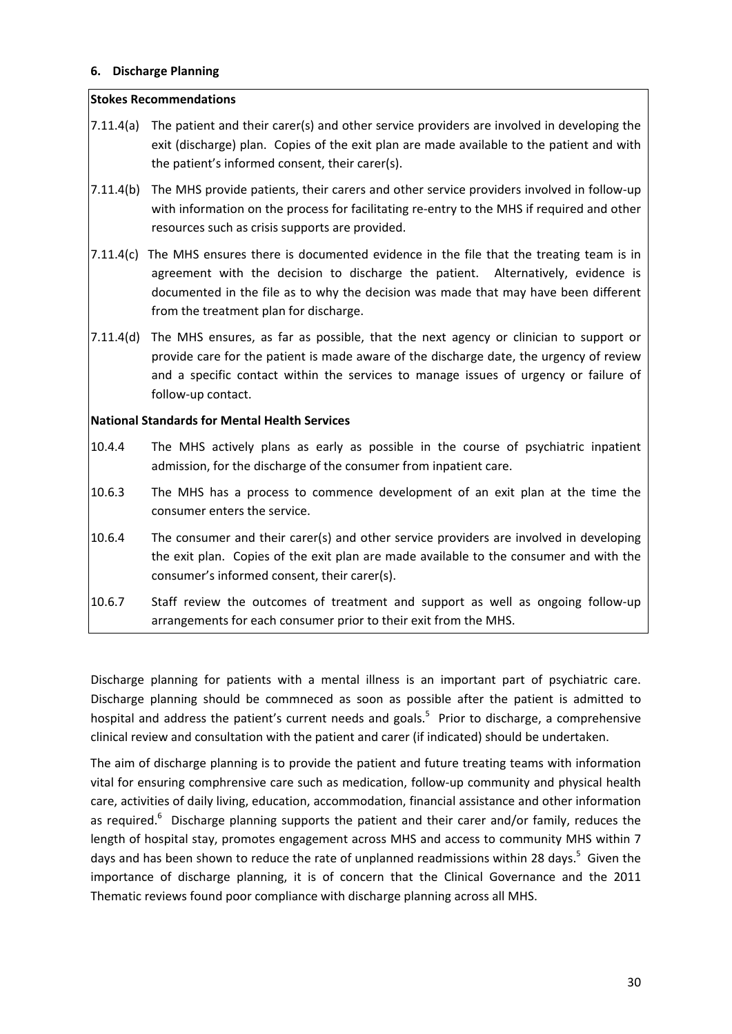#### **6. Discharge Planning**

#### **Stokes Recommendations**

- 7.11.4(a) The patient and their carer(s) and other service providers are involved in developing the exit (discharge) plan. Copies of the exit plan are made available to the patient and with the patient's informed consent, their carer(s).
- 7.11.4(b) The MHS provide patients, their carers and other service providers involved in follow‐up with information on the process for facilitating re-entry to the MHS if required and other resources such as crisis supports are provided.
- 7.11.4(c) The MHS ensures there is documented evidence in the file that the treating team is in agreement with the decision to discharge the patient. Alternatively, evidence is documented in the file as to why the decision was made that may have been different from the treatment plan for discharge.
- 7.11.4(d) The MHS ensures, as far as possible, that the next agency or clinician to support or provide care for the patient is made aware of the discharge date, the urgency of review and a specific contact within the services to manage issues of urgency or failure of follow‐up contact.

#### **National Standards for Mental Health Services**

- 10.4.4 The MHS actively plans as early as possible in the course of psychiatric inpatient admission, for the discharge of the consumer from inpatient care.
- 10.6.3 The MHS has a process to commence development of an exit plan at the time the consumer enters the service.
- 10.6.4 The consumer and their carer(s) and other service providers are involved in developing the exit plan. Copies of the exit plan are made available to the consumer and with the consumer's informed consent, their carer(s).
- 10.6.7 Staff review the outcomes of treatment and support as well as ongoing follow‐up arrangements for each consumer prior to their exit from the MHS.

Discharge planning for patients with a mental illness is an important part of psychiatric care. Discharge planning should be commneced as soon as possible after the patient is admitted to hospital and address the patient's current needs and goals.<sup>5</sup> Prior to discharge, a comprehensive clinical review and consultation with the patient and carer (if indicated) should be undertaken.

The aim of discharge planning is to provide the patient and future treating teams with information vital for ensuring comphrensive care such as medication, follow‐up community and physical health care, activities of daily living, education, accommodation, financial assistance and other information as required.<sup>6</sup> Discharge planning supports the patient and their carer and/or family, reduces the length of hospital stay, promotes engagement across MHS and access to community MHS within 7 days and has been shown to reduce the rate of unplanned readmissions within 28 days.<sup>5</sup> Given the importance of discharge planning, it is of concern that the Clinical Governance and the 2011 Thematic reviews found poor compliance with discharge planning across all MHS.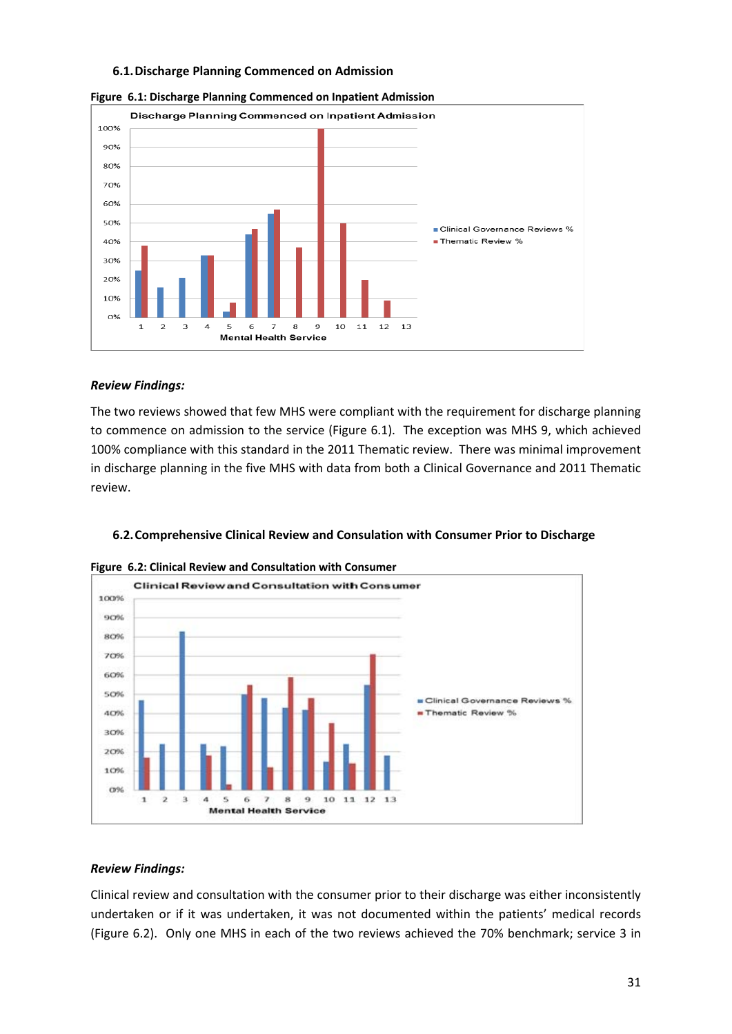#### **6.1.Discharge Planning Commenced on Admission**



**Figure 6.1: Discharge Planning Commenced on Inpatient Admission**

#### *Review Findings:*

The two reviews showed that few MHS were compliant with the requirement for discharge planning to commence on admission to the service (Figure 6.1). The exception was MHS 9, which achieved 100% compliance with this standard in the 2011 Thematic review. There was minimal improvement in discharge planning in the five MHS with data from both a Clinical Governance and 2011 Thematic review.





**Figure 6.2: Clinical Review and Consultation with Consumer**

#### *Review Findings:*

Clinical review and consultation with the consumer prior to their discharge was either inconsistently undertaken or if it was undertaken, it was not documented within the patients' medical records (Figure 6.2). Only one MHS in each of the two reviews achieved the 70% benchmark; service 3 in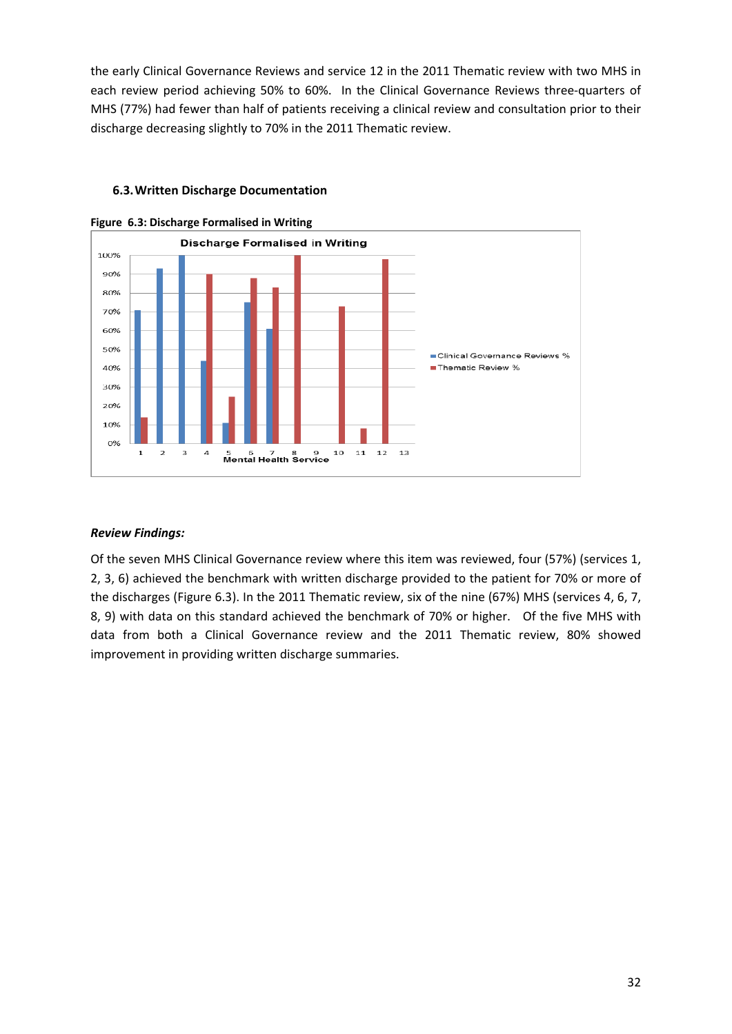the early Clinical Governance Reviews and service 12 in the 2011 Thematic review with two MHS in each review period achieving 50% to 60%. In the Clinical Governance Reviews three-quarters of MHS (77%) had fewer than half of patients receiving a clinical review and consultation prior to their discharge decreasing slightly to 70% in the 2011 Thematic review.



#### **6.3.Written Discharge Documentation**

#### *Review Findings:*

Of the seven MHS Clinical Governance review where this item was reviewed, four (57%) (services 1, 2, 3, 6) achieved the benchmark with written discharge provided to the patient for 70% or more of the discharges (Figure 6.3). In the 2011 Thematic review, six of the nine (67%) MHS (services 4, 6, 7, 8, 9) with data on this standard achieved the benchmark of 70% or higher. Of the five MHS with data from both a Clinical Governance review and the 2011 Thematic review, 80% showed improvement in providing written discharge summaries.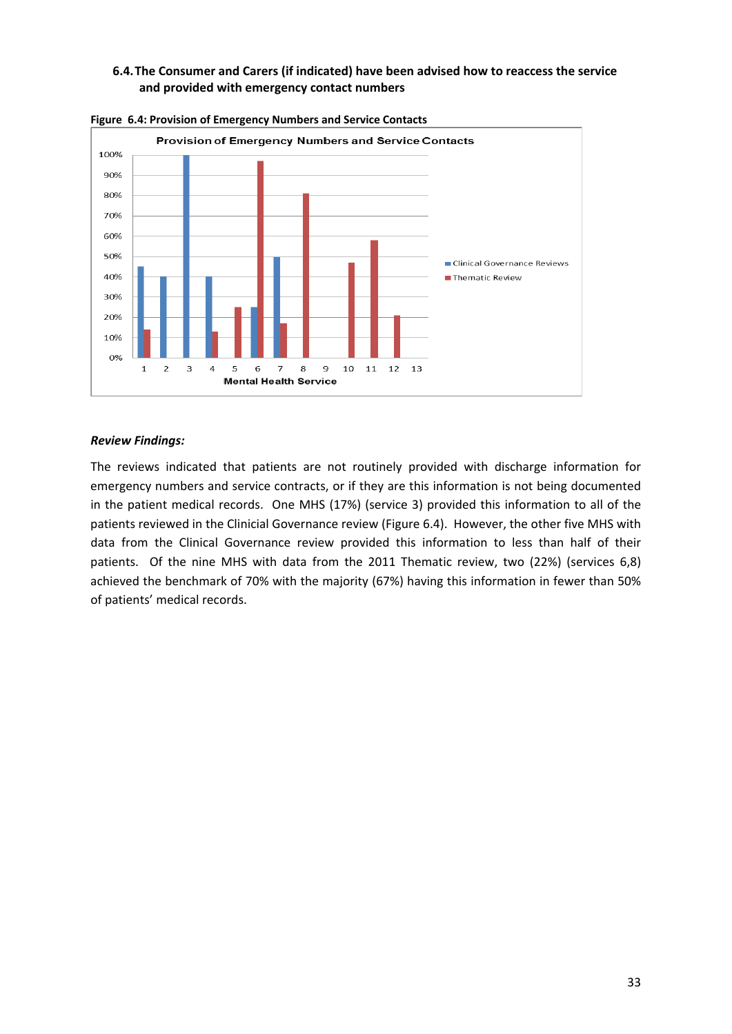#### **6.4.The Consumer and Carers (if indicated) have been advised how to reaccess the service and provided with emergency contact numbers**



**Figure 6.4: Provision of Emergency Numbers and Service Contacts** 

#### *Review Findings:*

The reviews indicated that patients are not routinely provided with discharge information for emergency numbers and service contracts, or if they are this information is not being documented in the patient medical records. One MHS (17%) (service 3) provided this information to all of the patients reviewed in the Clinicial Governance review (Figure 6.4). However, the other five MHS with data from the Clinical Governance review provided this information to less than half of their patients. Of the nine MHS with data from the 2011 Thematic review, two (22%) (services 6,8) achieved the benchmark of 70% with the majority (67%) having this information in fewer than 50% of patients' medical records.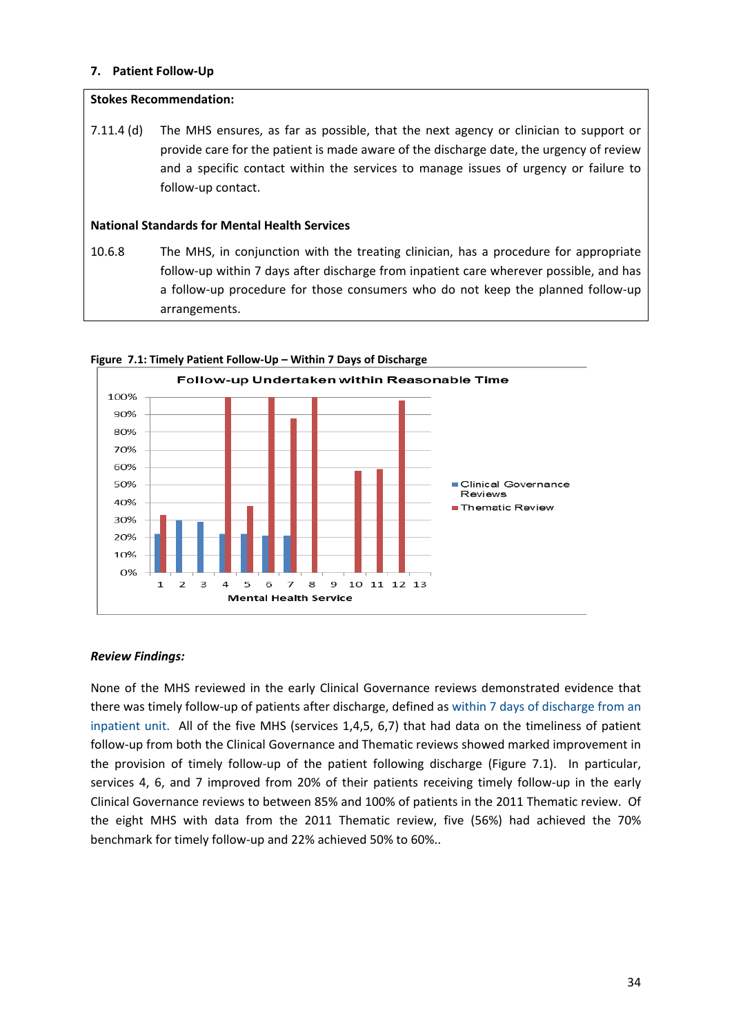#### **7. Patient Follow‐Up**

#### **Stokes Recommendation:**

7.11.4 (d) The MHS ensures, as far as possible, that the next agency or clinician to support or provide care for the patient is made aware of the discharge date, the urgency of review and a specific contact within the services to manage issues of urgency or failure to follow‐up contact.

#### **National Standards for Mental Health Services**

10.6.8 The MHS, in conjunction with the treating clinician, has a procedure for appropriate follow‐up within 7 days after discharge from inpatient care wherever possible, and has a follow‐up procedure for those consumers who do not keep the planned follow‐up arrangements.



#### **Figure 7.1: Timely Patient Follow‐Up – Within 7 Days of Discharge**

#### *Review Findings:*

None of the MHS reviewed in the early Clinical Governance reviews demonstrated evidence that there was timely follow‐up of patients after discharge, defined as within 7 days of discharge from an inpatient unit. All of the five MHS (services 1,4,5, 6,7) that had data on the timeliness of patient follow‐up from both the Clinical Governance and Thematic reviews showed marked improvement in the provision of timely follow-up of the patient following discharge (Figure 7.1). In particular, services 4, 6, and 7 improved from 20% of their patients receiving timely follow-up in the early Clinical Governance reviews to between 85% and 100% of patients in the 2011 Thematic review. Of the eight MHS with data from the 2011 Thematic review, five (56%) had achieved the 70% benchmark for timely follow‐up and 22% achieved 50% to 60%..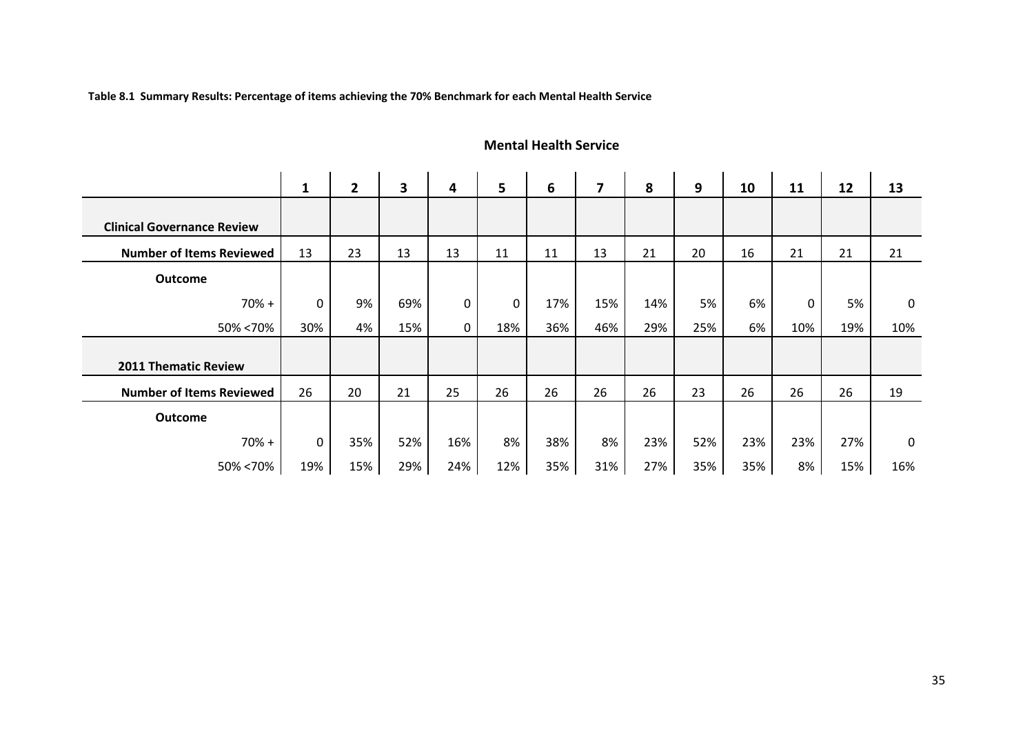**Table 8.1 Summary Results: Percentage of items achieving the 70% Benchmark for each Mental Health Service**

#### **1 2 3 4 5 6 7 8 9 10 11 12 13 Clinical Governance ReviewNumber of Items Reviewed**d | 13 | 23 | 13 | 13 | 11 | 11 | 13 | 21 | 20 | 16 | 21 | 21 | 21 **Outcome** 70%%+| 0| 9%| 69%| 0| 0| 17%| 15%| 14%| 5%| 6%| 0| 5%| 0 50%%<70% | 30% | 4% | 15% | 0 | 18% | 36% | 46% | 29% | 25% | 6% | 10% | 19% | 10% **2011 Thematic Review Number of Items Reviewed** 26 20 21 25 26 26 26 26 23 26 26 26 19 **Outcome** 70%%+| 0| 35%| 52%| 16%| 8%| 38%| 8%| 23%| 52%| 23%| 23%| 27%| 0 50%%<70% | 19% | 15% | 29% | 24% | 12% | 35% | 31% | 27% | 35% | 35% | 8% | 15% | 16%

#### **Mental Health Service**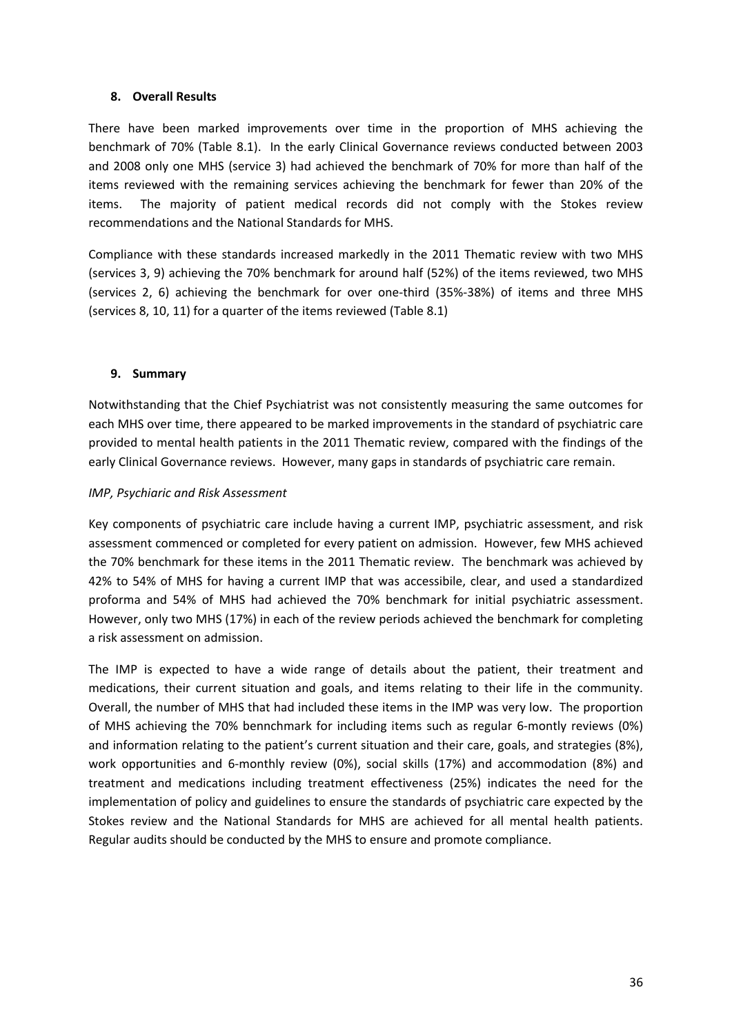#### **8. Overall Results**

There have been marked improvements over time in the proportion of MHS achieving the benchmark of 70% (Table 8.1). In the early Clinical Governance reviews conducted between 2003 and 2008 only one MHS (service 3) had achieved the benchmark of 70% for more than half of the items reviewed with the remaining services achieving the benchmark for fewer than 20% of the items. The majority of patient medical records did not comply with the Stokes review recommendations and the National Standards for MHS.

Compliance with these standards increased markedly in the 2011 Thematic review with two MHS (services 3, 9) achieving the 70% benchmark for around half (52%) of the items reviewed, two MHS (services 2, 6) achieving the benchmark for over one‐third (35%‐38%) of items and three MHS (services 8, 10, 11) for a quarter of the items reviewed (Table 8.1)

#### **9. Summary**

Notwithstanding that the Chief Psychiatrist was not consistently measuring the same outcomes for each MHS over time, there appeared to be marked improvements in the standard of psychiatric care provided to mental health patients in the 2011 Thematic review, compared with the findings of the early Clinical Governance reviews. However, many gaps in standards of psychiatric care remain.

#### *IMP, Psychiaric and Risk Assessment*

Key components of psychiatric care include having a current IMP, psychiatric assessment, and risk assessment commenced or completed for every patient on admission. However, few MHS achieved the 70% benchmark for these items in the 2011 Thematic review. The benchmark was achieved by 42% to 54% of MHS for having a current IMP that was accessibile, clear, and used a standardized proforma and 54% of MHS had achieved the 70% benchmark for initial psychiatric assessment. However, only two MHS (17%) in each of the review periods achieved the benchmark for completing a risk assessment on admission.

The IMP is expected to have a wide range of details about the patient, their treatment and medications, their current situation and goals, and items relating to their life in the community. Overall, the number of MHS that had included these items in the IMP was very low. The proportion of MHS achieving the 70% bennchmark for including items such as regular 6‐montly reviews (0%) and information relating to the patient's current situation and their care, goals, and strategies (8%), work opportunities and 6‐monthly review (0%), social skills (17%) and accommodation (8%) and treatment and medications including treatment effectiveness (25%) indicates the need for the implementation of policy and guidelines to ensure the standards of psychiatric care expected by the Stokes review and the National Standards for MHS are achieved for all mental health patients. Regular audits should be conducted by the MHS to ensure and promote compliance.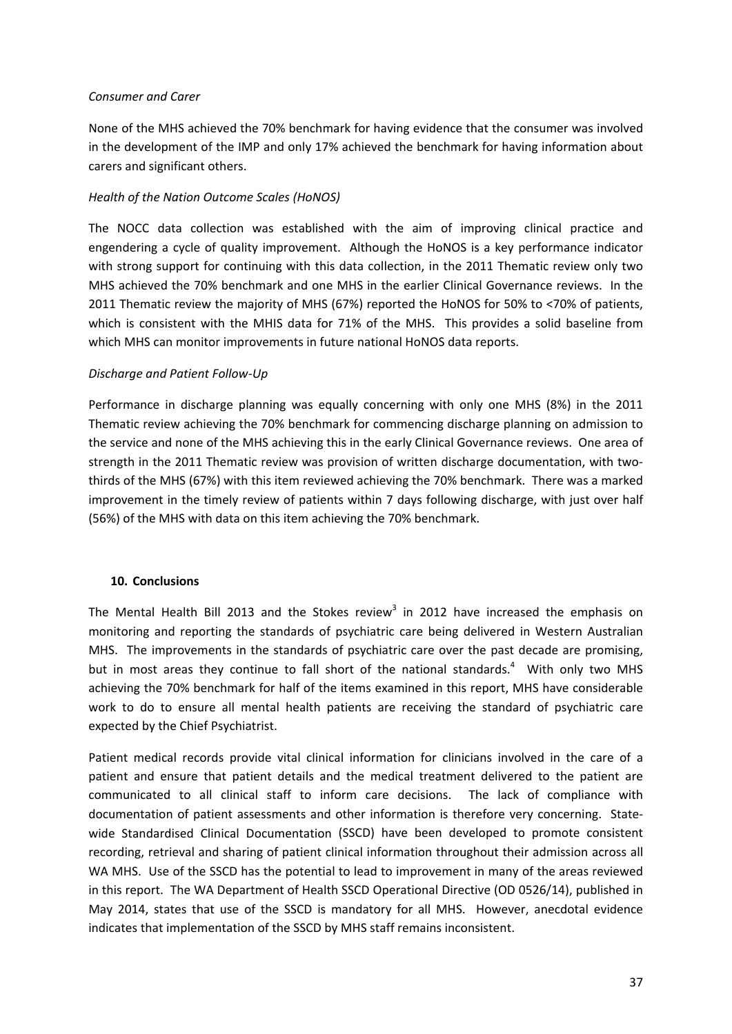#### *Consumer and Carer*

None of the MHS achieved the 70% benchmark for having evidence that the consumer was involved in the development of the IMP and only 17% achieved the benchmark for having information about carers and significant others.

#### *Health of the Nation Outcome Scales (HoNOS)*

The NOCC data collection was established with the aim of improving clinical practice and engendering a cycle of quality improvement. Although the HoNOS is a key performance indicator with strong support for continuing with this data collection, in the 2011 Thematic review only two MHS achieved the 70% benchmark and one MHS in the earlier Clinical Governance reviews. In the 2011 Thematic review the majority of MHS (67%) reported the HoNOS for 50% to <70% of patients, which is consistent with the MHIS data for 71% of the MHS. This provides a solid baseline from which MHS can monitor improvements in future national HoNOS data reports.

#### *Discharge and Patient Follow‐Up*

Performance in discharge planning was equally concerning with only one MHS (8%) in the 2011 Thematic review achieving the 70% benchmark for commencing discharge planning on admission to the service and none of the MHS achieving this in the early Clinical Governance reviews. One area of strength in the 2011 Thematic review was provision of written discharge documentation, with twothirds of the MHS (67%) with this item reviewed achieving the 70% benchmark. There was a marked improvement in the timely review of patients within 7 days following discharge, with just over half (56%) of the MHS with data on this item achieving the 70% benchmark.

#### **10. Conclusions**

The Mental Health Bill 2013 and the Stokes review<sup>3</sup> in 2012 have increased the emphasis on monitoring and reporting the standards of psychiatric care being delivered in Western Australian MHS. The improvements in the standards of psychiatric care over the past decade are promising, but in most areas they continue to fall short of the national standards.<sup>4</sup> With only two MHS achieving the 70% benchmark for half of the items examined in this report, MHS have considerable work to do to ensure all mental health patients are receiving the standard of psychiatric care expected by the Chief Psychiatrist.

Patient medical records provide vital clinical information for clinicians involved in the care of a patient and ensure that patient details and the medical treatment delivered to the patient are communicated to all clinical staff to inform care decisions. The lack of compliance with documentation of patient assessments and other information is therefore very concerning. Statewide Standardised Clinical Documentation (SSCD) have been developed to promote consistent recording, retrieval and sharing of patient clinical information throughout their admission across all WA MHS. Use of the SSCD has the potential to lead to improvement in many of the areas reviewed in this report. The WA Department of Health SSCD Operational Directive (OD 0526/14), published in May 2014, states that use of the SSCD is mandatory for all MHS. However, anecdotal evidence indicates that implementation of the SSCD by MHS staff remains inconsistent.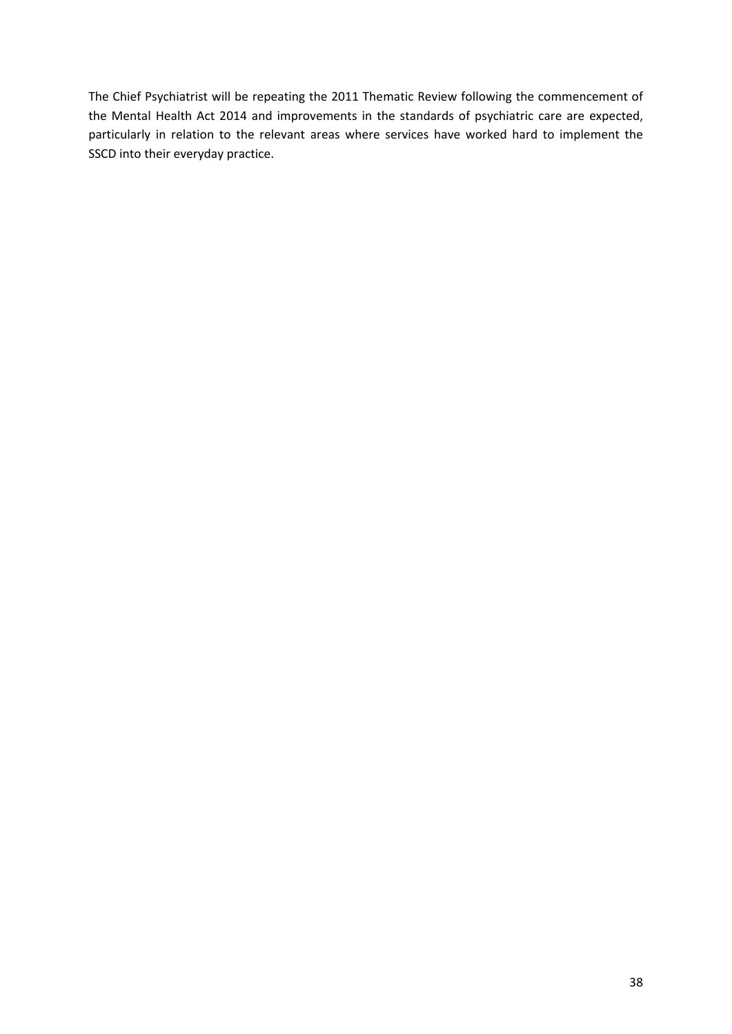The Chief Psychiatrist will be repeating the 2011 Thematic Review following the commencement of the Mental Health Act 2014 and improvements in the standards of psychiatric care are expected, particularly in relation to the relevant areas where services have worked hard to implement the SSCD into their everyday practice.